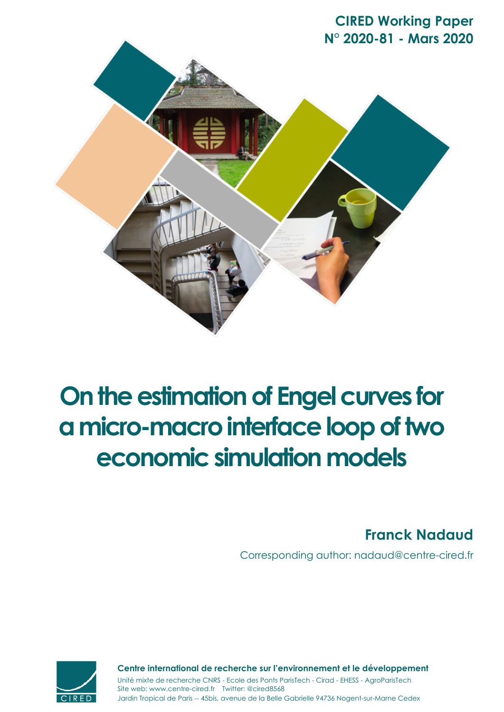**CIRED Working Paper N° 2020-81 - Mars 2020**



# **On the estimation of Engel curves for a micro-macro interface loop of two economic simulation models**

**Franck Nadaud**

Corresponding author: nadaud@centre-cired.fr



Jardin Tropical de Paris -- 45bis, avenue de la Belle Gabrielle 94736 Nogent-sur-Marne Cedex Site web: www.centre-cired.fr Twitter: @cired8568 **Centre international de recherche sur l'environnement et le développement** Unité mixte de recherche CNRS - Ecole des Ponts ParisTech - Cirad - EHESS - AgroParisTech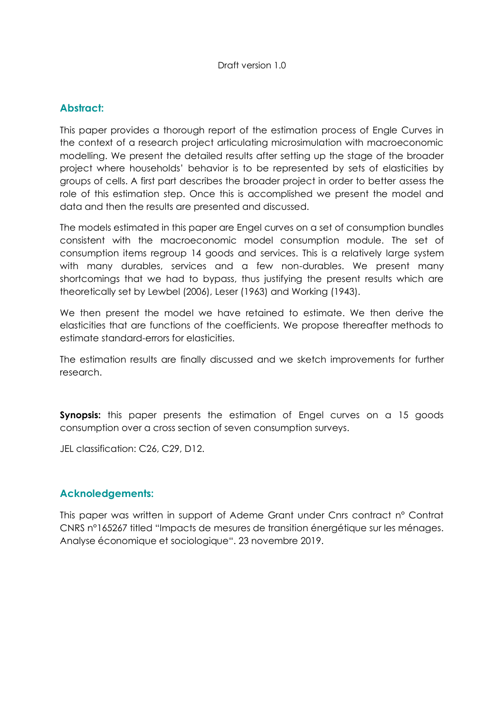#### **Abstract:**

This paper provides a thorough report of the estimation process of Engle Curves in the context of a research project articulating microsimulation with macroeconomic modelling. We present the detailed results after setting up the stage of the broader project where households· behavior is to be represented by sets of elasticities by groups of cells. A first part describes the broader project in order to better assess the role of this estimation step. Once this is accomplished we present the model and data and then the results are presented and discussed.

The models estimated in this paper are Engel curves on a set of consumption bundles consistent with the macroeconomic model consumption module. The set of consumption items regroup 14 goods and services. This is a relatively large system with many durables, services and a few non-durables. We present many shortcomings that we had to bypass, thus justifying the present results which are theoretically set by Lewbel (2006), Leser (1963) and Working (1943).

We then present the model we have retained to estimate. We then derive the elasticities that are functions of the coefficients. We propose thereafter methods to estimate standard-errors for elasticities.

The estimation results are finally discussed and we sketch improvements for further research.

**Synopsis:** this paper presents the estimation of Engel curves on a 15 goods consumption over a cross section of seven consumption surveys.

JEL classification: C26, C29, D12.

#### **Acknoledgements:**

This paper was written in support of Ademe Grant under Cnrs contract n° Contrat CNRS n°165267 titled "Impacts de mesures de transition énergétique sur les ménages. Analyse économique et sociologique". 23 novembre 2019.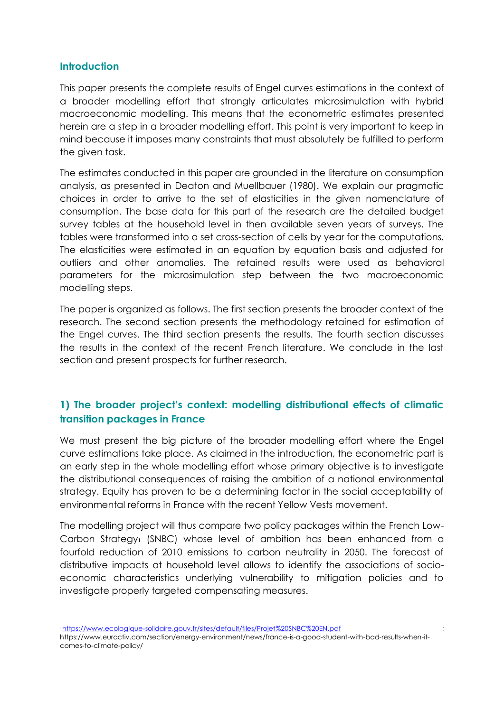#### **Introduction**

This paper presents the complete results of Engel curves estimations in the context of a broader modelling effort that strongly articulates microsimulation with hybrid macroeconomic modelling. This means that the econometric estimates presented herein are a step in a broader modelling effort. This point is very important to keep in mind because it imposes many constraints that must absolutely be fulfilled to perform the given task.

The estimates conducted in this paper are grounded in the literature on consumption analysis, as presented in Deaton and Muellbauer (1980). We explain our pragmatic choices in order to arrive to the set of elasticities in the given nomenclature of consumption. The base data for this part of the research are the detailed budget survey tables at the household level in then available seven years of surveys. The tables were transformed into a set cross-section of cells by year for the computations. The elasticities were estimated in an equation by equation basis and adjusted for outliers and other anomalies. The retained results were used as behavioral parameters for the microsimulation step between the two macroeconomic modelling steps.

The paper is organized as follows. The first section presents the broader context of the research. The second section presents the methodology retained for estimation of the Engel curves. The third section presents the results. The fourth section discusses the results in the context of the recent French literature. We conclude in the last section and present prospects for further research.

# 1) The broader project's context: modelling distributional effects of climatic **transition packages in France**

We must present the big picture of the broader modelling effort where the Engel curve estimations take place. As claimed in the introduction, the econometric part is an early step in the whole modelling effort whose primary objective is to investigate the distributional consequences of raising the ambition of a national environmental strategy. Equity has proven to be a determining factor in the social acceptability of environmental reforms in France with the recent Yellow Vests movement.

The modelling project will thus compare two policy packages within the French Low-Carbon Strategy<sub>1</sub> (SNBC) whose level of ambition has been enhanced from a fourfold reduction of 2010 emissions to carbon neutrality in 2050. The forecast of distributive impacts at household level allows to identify the associations of socioeconomic characteristics underlying vulnerability to mitigation policies and to investigate properly targeted compensating measures.

1https://www.ecologique-solidaire.gouv.fr/sites/default/files/Projet%20SNBC%20EN.pdf ;

https://www.euractiv.com/section/energy-environment/news/france-is-a-good-student-with-bad-results-when-itcomes-to-climate-policy/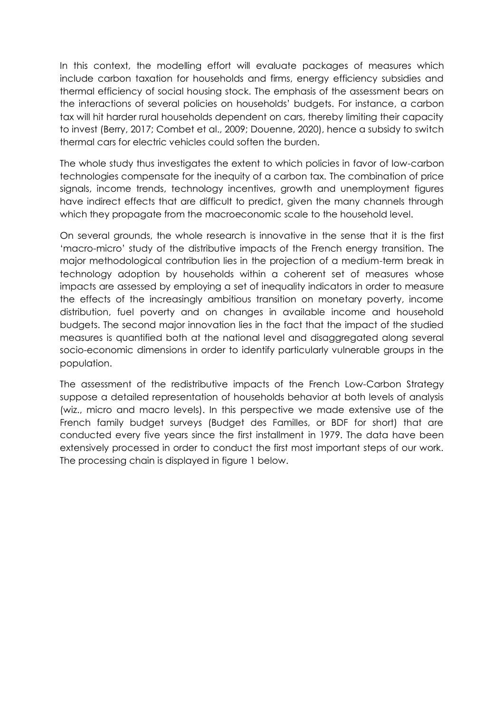In this context, the modelling effort will evaluate packages of measures which include carbon taxation for households and firms, energy efficiency subsidies and thermal efficiency of social housing stock. The emphasis of the assessment bears on the interactions of several policies on households· budgets. For instance, a carbon tax will hit harder rural households dependent on cars, thereby limiting their capacity to invest (Berry, 2017; Combet et al., 2009; Douenne, 2020), hence a subsidy to switch thermal cars for electric vehicles could soften the burden.

The whole study thus investigates the extent to which policies in favor of low-carbon technologies compensate for the inequity of a carbon tax. The combination of price signals, income trends, technology incentives, growth and unemployment figures have indirect effects that are difficult to predict, given the many channels through which they propagate from the macroeconomic scale to the household level.

On several grounds, the whole research is innovative in the sense that it is the first ¶macro-micro· study of the distributive impacts of the French energy transition. The major methodological contribution lies in the projection of a medium-term break in technology adoption by households within a coherent set of measures whose impacts are assessed by employing a set of inequality indicators in order to measure the effects of the increasingly ambitious transition on monetary poverty, income distribution, fuel poverty and on changes in available income and household budgets. The second major innovation lies in the fact that the impact of the studied measures is quantified both at the national level and disaggregated along several socio-economic dimensions in order to identify particularly vulnerable groups in the population.

The assessment of the redistributive impacts of the French Low-Carbon Strategy suppose a detailed representation of households behavior at both levels of analysis (wiz., micro and macro levels). In this perspective we made extensive use of the French family budget surveys (Budget des Familles, or BDF for short) that are conducted every five years since the first installment in 1979. The data have been extensively processed in order to conduct the first most important steps of our work. The processing chain is displayed in figure 1 below.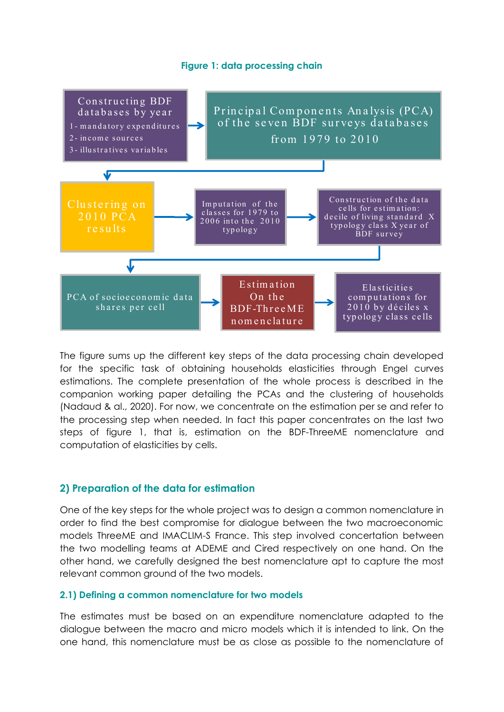#### **Figure 1: data processing chain**



The figure sums up the different key steps of the data processing chain developed for the specific task of obtaining households elasticities through Engel curves estimations. The complete presentation of the whole process is described in the companion working paper detailing the PCAs and the clustering of households (Nadaud & al., 2020). For now, we concentrate on the estimation per se and refer to the processing step when needed. In fact this paper concentrates on the last two steps of figure 1, that is, estimation on the BDF-ThreeME nomenclature and computation of elasticities by cells.

#### **2) Preparation of the data for estimation**

One of the key steps for the whole project was to design a common nomenclature in order to find the best compromise for dialogue between the two macroeconomic models ThreeME and IMACLIM-S France. This step involved concertation between the two modelling teams at ADEME and Cired respectively on one hand. On the other hand, we carefully designed the best nomenclature apt to capture the most relevant common ground of the two models.

#### **2.1) Defining a common nomenclature for two models**

The estimates must be based on an expenditure nomenclature adapted to the dialogue between the macro and micro models which it is intended to link. On the one hand, this nomenclature must be as close as possible to the nomenclature of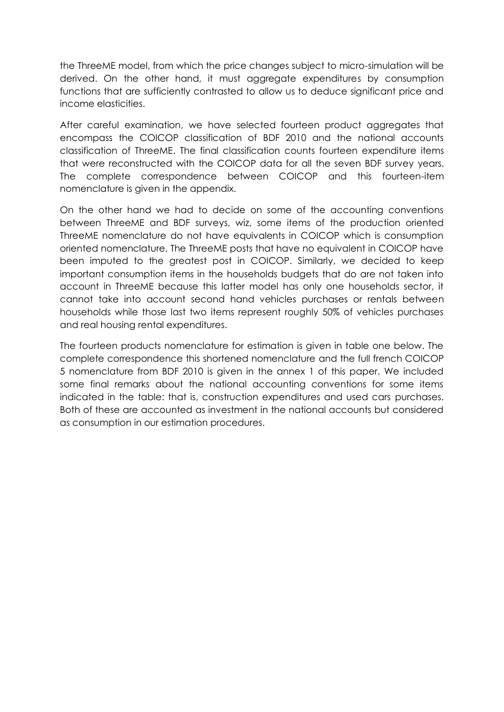the ThreeME model, from which the price changes subject to micro-simulation will be derived. On the other hand, it must aggregate expenditures by consumption functions that are sufficiently contrasted to allow us to deduce significant price and income elasticities.

After careful examination, we have selected fourteen product aggregates that encompass the COICOP classification of BDF 2010 and the national accounts classification of ThreeME. The final classification counts fourteen expenditure items that were reconstructed with the COICOP data for all the seven BDF survey years. The complete correspondence between COICOP and this fourteen-item nomenclature is given in the appendix.

On the other hand we had to decide on some of the accounting conventions between ThreeME and BDF surveys, wiz, some items of the production oriented ThreeME nomenclature do not have equivalents in COICOP which is consumption oriented nomenclature. The ThreeME posts that have no equivalent in COICOP have been imputed to the greatest post in COICOP. Similarly, we decided to keep important consumption items in the households budgets that do are not taken into account in ThreeME because this latter model has only one households sector, it cannot take into account second hand vehicles purchases or rentals between households while those last two items represent roughly 50% of vehicles purchases and real housing rental expenditures.

The fourteen products nomenclature for estimation is given in table one below. The complete correspondence this shortened nomenclature and the full french COICOP 5 nomenclature from BDF 2010 is given in the annex 1 of this paper. We included some final remarks about the national accounting conventions for some items indicated in the table: that is, construction expenditures and used cars purchases. Both of these are accounted as investment in the national accounts but considered as consumption in our estimation procedures.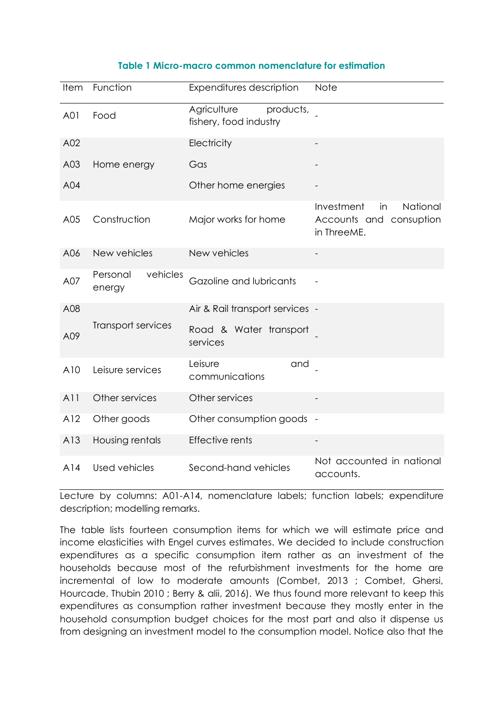#### **Table 1 Micro-macro common nomenclature for estimation**

| <b>Item</b> | Function                       | Expenditures description                           | <b>Note</b>                                                            |
|-------------|--------------------------------|----------------------------------------------------|------------------------------------------------------------------------|
| A01         | Food                           | Agriculture<br>products,<br>fishery, food industry |                                                                        |
| A02         |                                | Electricity                                        |                                                                        |
| A03         | Home energy                    | Gas                                                |                                                                        |
| A04         |                                | Other home energies                                |                                                                        |
| A05         | Construction                   | Major works for home                               | Investment<br>National<br>in<br>Accounts and consuption<br>in ThreeME. |
| A06         | New vehicles                   | New vehicles                                       |                                                                        |
| A07         | vehicles<br>Personal<br>energy | Gazoline and lubricants                            |                                                                        |
| A08         |                                | Air & Rail transport services -                    |                                                                        |
| A09         | Transport services             | Road & Water transport<br>services                 |                                                                        |
| A10         | Leisure services               | Leisure<br>and<br>communications                   |                                                                        |
| A11         | Other services                 | Other services                                     |                                                                        |
| A12         | Other goods                    | Other consumption goods -                          |                                                                        |
| A13         | Housing rentals                | <b>Effective rents</b>                             |                                                                        |
| A14         | Used vehicles                  | Second-hand vehicles                               | Not accounted in national<br>accounts.                                 |

Lecture by columns: A01-A14, nomenclature labels; function labels; expenditure description; modelling remarks.

The table lists fourteen consumption items for which we will estimate price and income elasticities with Engel curves estimates. We decided to include construction expenditures as a specific consumption item rather as an investment of the households because most of the refurbishment investments for the home are incremental of low to moderate amounts (Combet, 2013 ; Combet, Ghersi, Hourcade, Thubin 2010 ; Berry & alii, 2016). We thus found more relevant to keep this expenditures as consumption rather investment because they mostly enter in the household consumption budget choices for the most part and also it dispense us from designing an investment model to the consumption model. Notice also that the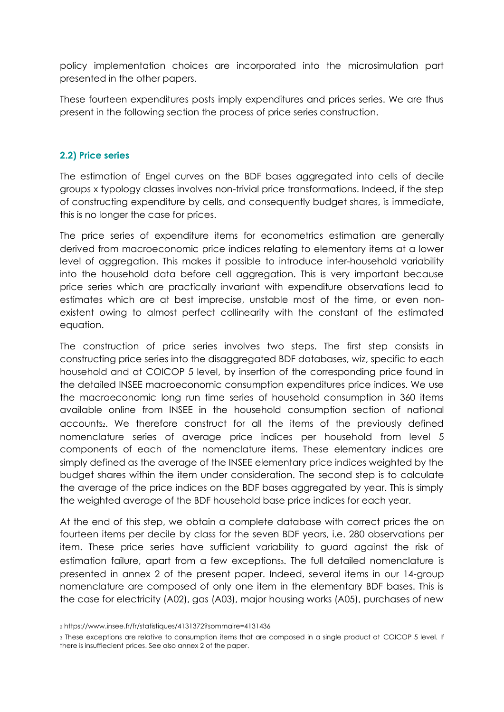policy implementation choices are incorporated into the microsimulation part presented in the other papers.

These fourteen expenditures posts imply expenditures and prices series. We are thus present in the following section the process of price series construction.

#### **2.2) Price series**

The estimation of Engel curves on the BDF bases aggregated into cells of decile groups x typology classes involves non-trivial price transformations. Indeed, if the step of constructing expenditure by cells, and consequently budget shares, is immediate, this is no longer the case for prices.

The price series of expenditure items for econometrics estimation are generally derived from macroeconomic price indices relating to elementary items at a lower level of aggregation. This makes it possible to introduce inter-household variability into the household data before cell aggregation. This is very important because price series which are practically invariant with expenditure observations lead to estimates which are at best imprecise, unstable most of the time, or even nonexistent owing to almost perfect collinearity with the constant of the estimated equation.

The construction of price series involves two steps. The first step consists in constructing price series into the disaggregated BDF databases, wiz, specific to each household and at COICOP 5 level, by insertion of the corresponding price found in the detailed INSEE macroeconomic consumption expenditures price indices. We use the macroeconomic long run time series of household consumption in 360 items available online from INSEE in the household consumption section of national accounts<sub>2</sub>. We therefore construct for all the items of the previously defined nomenclature series of average price indices per household from level 5 components of each of the nomenclature items. These elementary indices are simply defined as the average of the INSEE elementary price indices weighted by the budget shares within the item under consideration. The second step is to calculate the average of the price indices on the BDF bases aggregated by year. This is simply the weighted average of the BDF household base price indices for each year.

At the end of this step, we obtain a complete database with correct prices the on fourteen items per decile by class for the seven BDF years, i.e. 280 observations per item. These price series have sufficient variability to guard against the risk of estimation failure, apart from a few exceptions<sub>3</sub>. The full detailed nomenclature is presented in annex 2 of the present paper. Indeed, several items in our 14-group nomenclature are composed of only one item in the elementary BDF bases. This is the case for electricity (A02), gas (A03), major housing works (A05), purchases of new

<sup>2</sup> https://www.insee.fr/fr/statistiques/4131372?sommaire=4131436

<sup>3</sup> These exceptions are relative to consumption items that are composed in a single product at COICOP 5 level. If there is insuffiecient prices. See also annex 2 of the paper.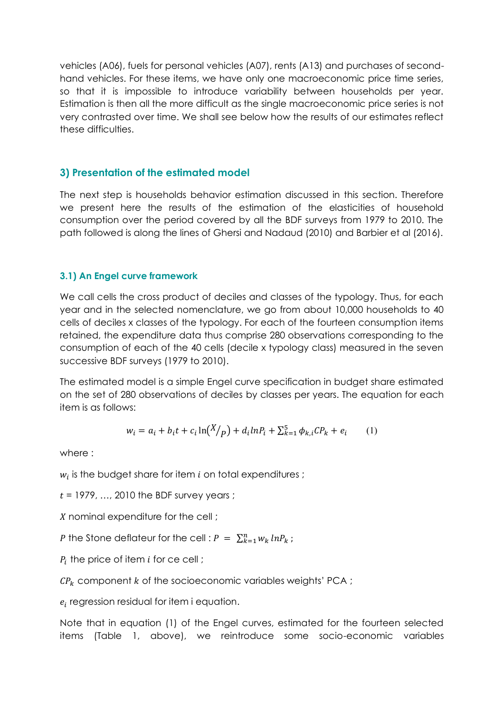vehicles (A06), fuels for personal vehicles (A07), rents (A13) and purchases of secondhand vehicles. For these items, we have only one macroeconomic price time series, so that it is impossible to introduce variability between households per year. Estimation is then all the more difficult as the single macroeconomic price series is not very contrasted over time. We shall see below how the results of our estimates reflect these difficulties.

#### **3) Presentation of the estimated model**

The next step is households behavior estimation discussed in this section. Therefore we present here the results of the estimation of the elasticities of household consumption over the period covered by all the BDF surveys from 1979 to 2010. The path followed is along the lines of Ghersi and Nadaud (2010) and Barbier et al (2016).

#### **3.1) An Engel curve framework**

We call cells the cross product of deciles and classes of the typology. Thus, for each year and in the selected nomenclature, we go from about 10,000 households to 40 cells of deciles x classes of the typology. For each of the fourteen consumption items retained, the expenditure data thus comprise 280 observations corresponding to the consumption of each of the 40 cells (decile x typology class) measured in the seven successive BDF surveys (1979 to 2010).

The estimated model is a simple Engel curve specification in budget share estimated on the set of 280 observations of deciles by classes per years. The equation for each item is as follows:

$$
w_i = a_i + b_i t + c_i \ln(X/p) + d_i \ln P_i + \sum_{k=1}^{5} \phi_{k,i} C P_k + e_i \tag{1}
$$

where :

 $w_i$  is the budget share for item  $i$  on total expenditures;

 $t = 1979, \ldots, 2010$  the BDF survey years;

X nominal expenditure for the cell;

P the Stone deflateur for the cell :  $P = \sum_{k=1}^{n} w_k ln P_k$ ;

 $P_i$  the price of item i for ce cell;

 $\mathcal{CP}_k$  component k of the socioeconomic variables weights' PCA;

 $e_i$  regression residual for item i equation.

Note that in equation (1) of the Engel curves, estimated for the fourteen selected items (Table 1, above), we reintroduce some socio-economic variables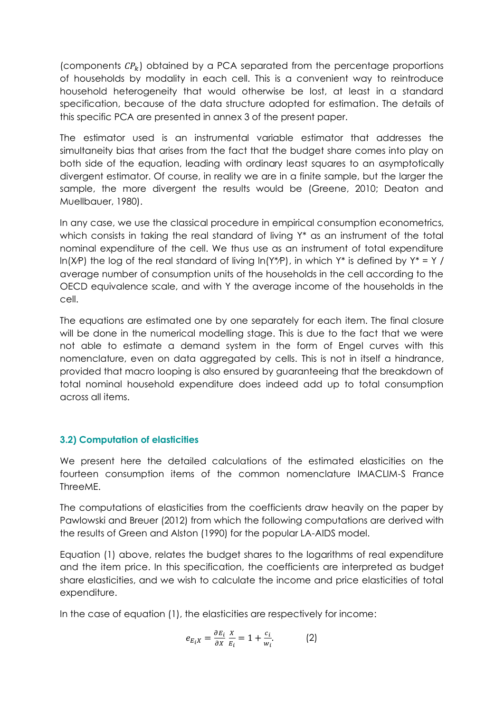(components  $\mathcal{CP}_k$ ) obtained by a PCA separated from the percentage proportions of households by modality in each cell. This is a convenient way to reintroduce household heterogeneity that would otherwise be lost, at least in a standard specification, because of the data structure adopted for estimation. The details of this specific PCA are presented in annex 3 of the present paper.

The estimator used is an instrumental variable estimator that addresses the simultaneity bias that arises from the fact that the budget share comes into play on both side of the equation, leading with ordinary least squares to an asymptotically divergent estimator. Of course, in reality we are in a finite sample, but the larger the sample, the more divergent the results would be (Greene, 2010; Deaton and Muellbauer, 1980).

In any case, we use the classical procedure in empirical consumption econometrics, which consists in taking the real standard of living Y<sup>\*</sup> as an instrument of the total nominal expenditure of the cell. We thus use as an instrument of total expenditure  $ln(X/P)$  the log of the real standard of living  $ln(Y^*P)$ , in which Y\* is defined by Y\* = Y / average number of consumption units of the households in the cell according to the OECD equivalence scale, and with Y the average income of the households in the cell.

The equations are estimated one by one separately for each item. The final closure will be done in the numerical modelling stage. This is due to the fact that we were not able to estimate a demand system in the form of Engel curves with this nomenclature, even on data aggregated by cells. This is not in itself a hindrance, provided that macro looping is also ensured by guaranteeing that the breakdown of total nominal household expenditure does indeed add up to total consumption across all items.

#### **3.2) Computation of elasticities**

We present here the detailed calculations of the estimated elasticities on the fourteen consumption items of the common nomenclature IMACLIM-S France ThreeME.

The computations of elasticities from the coefficients draw heavily on the paper by Pawlowski and Breuer (2012) from which the following computations are derived with the results of Green and Alston (1990) for the popular LA-AIDS model.

Equation (1) above, relates the budget shares to the logarithms of real expenditure and the item price. In this specification, the coefficients are interpreted as budget share elasticities, and we wish to calculate the income and price elasticities of total expenditure.

In the case of equation (1), the elasticities are respectively for income:

$$
e_{E_i X} = \frac{\partial E_i}{\partial X} \frac{X}{E_i} = 1 + \frac{c_i}{w_i}.
$$
 (2)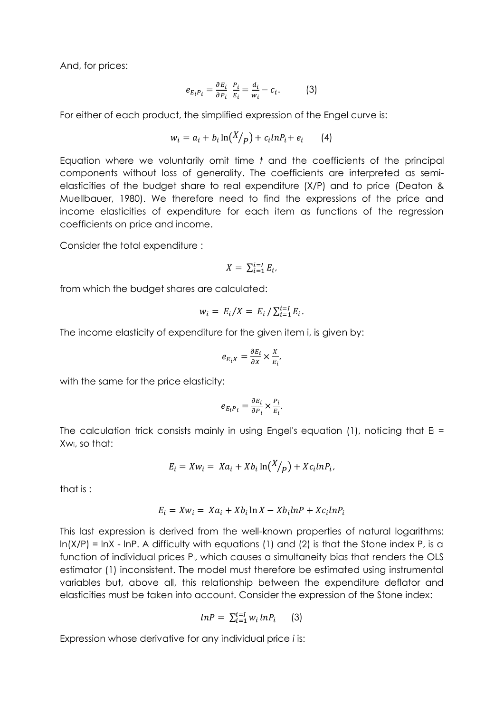And, for prices:

$$
e_{E_i P_i} = \frac{\partial E_i}{\partial P_i} \frac{P_i}{E_i} = \frac{d_i}{w_i} - c_i.
$$
 (3)

For either of each product, the simplified expression of the Engel curve is:

$$
w_i = a_i + b_i \ln\left(\frac{X}{p}\right) + c_i \ln P_i + e_i \qquad (4)
$$

Equation where we voluntarily omit time *t* and the coefficients of the principal components without loss of generality. The coefficients are interpreted as semielasticities of the budget share to real expenditure (X/P) and to price (Deaton & Muellbauer, 1980). We therefore need to find the expressions of the price and income elasticities of expenditure for each item as functions of the regression coefficients on price and income.

Consider the total expenditure :

$$
X = \sum_{i=1}^{i=l} E_i,
$$

from which the budget shares are calculated:

$$
w_i = E_i / X = E_i / \sum_{i=1}^{i=1} E_i.
$$

The income elasticity of expenditure for the given item i, is given by:

$$
e_{E_i X} = \frac{\partial E_i}{\partial X} \times \frac{X}{E_i},
$$

with the same for the price elasticity:

$$
e_{E_iP_i}=\frac{\partial E_i}{\partial P_i}\times \frac{P_i}{E_i}.
$$

The calculation trick consists mainly in using Engel's equation (1), noticing that  $E_i =$ Xwi, so that:

$$
E_i = Xw_i = Xa_i + Xb_i \ln(X/p) + Xc_i \ln P_i.
$$

that is :

$$
E_i = Xw_i = Xa_i + Xb_i \ln X - Xb_i \ln P + Xc_i \ln P_i
$$

This last expression is derived from the well-known properties of natural logarithms:  $ln(X/P) = lnX - lnP$ . A difficulty with equations (1) and (2) is that the Stone index P, is a function of individual prices Pi, which causes a simultaneity bias that renders the OLS estimator (1) inconsistent. The model must therefore be estimated using instrumental variables but, above all, this relationship between the expenditure deflator and elasticities must be taken into account. Consider the expression of the Stone index:

$$
lnP = \sum_{i=1}^{i=l} w_i lnP_i \qquad (3)
$$

Expression whose derivative for any individual price *i* is: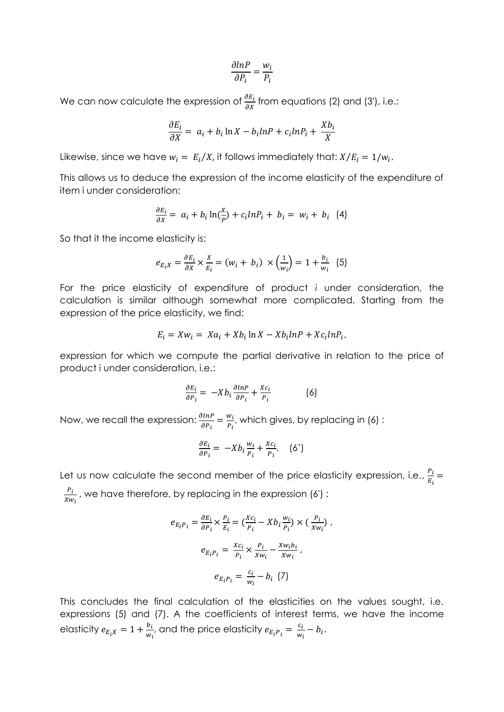$$
\frac{\partial lnP}{\partial P_i} = \frac{w_i}{P_i}
$$

We can now calculate the expression of  $\frac{\partial E_i}{\partial X}$  from equations (2) and (3'), i.e.:

$$
\frac{\partial E_i}{\partial X} = a_i + b_i \ln X - b_i \ln P + c_i \ln P_i + \frac{Xb_i}{X}
$$

Likewise, since we have  $w_i = E_i/X$ , it follows immediately that:  $X/E_i = 1/w_i$ .

This allows us to deduce the expression of the income elasticity of the expenditure of item i under consideration:

$$
\frac{\partial E_i}{\partial x} = a_i + b_i \ln(\frac{x}{p}) + c_i \ln(P_i + b_i = w_i + b_i \quad (4)
$$

So that it the income elasticity is:

$$
e_{E_i X} = \frac{\partial E_i}{\partial X} \times \frac{X}{E_i} = (w_i + b_i) \times \left(\frac{1}{w_i}\right) = 1 + \frac{b_i}{w_i} \quad (5)
$$

For the price elasticity of expenditure of product *i* under consideration, the calculation is similar although somewhat more complicated. Starting from the expression of the price elasticity, we find:

$$
E_i = Xw_i = Xa_i + Xb_i \ln X - Xb_i \ln P + Xc_i \ln P_i,
$$

expression for which we compute the partial derivative in relation to the price of product i under consideration, i.e.:

$$
\frac{\partial E_i}{\partial P_i} = -Xb_i \frac{\partial \ln P}{\partial P_i} + \frac{Xc_i}{P_i}
$$
 (6)

Now, we recall the expression:  $\frac{\partial \ln P}{\partial P_i} = \frac{w_i}{P_i}$ , which gives, by replacing in (6):

$$
\frac{\partial E_i}{\partial P_i} = -X b_i \frac{w_i}{P_i} + \frac{X c_i}{P_i}.
$$
 (6')

Let us now calculate the second member of the price elasticity expression, i.e.,  $\frac{P_i}{E_i}$  =  $P_i$  $\frac{F_l}{Xw_i}$  , we have therefore, by replacing in the expression (6') :

$$
e_{E_i P_i} = \frac{\partial E_i}{\partial P_i} \times \frac{P_i}{E_i} = \left(\frac{Xc_i}{P_i} - Xb_i \frac{w_i}{P_i}\right) \times \left(\frac{P_i}{Xw_i}\right),
$$

$$
e_{E_i P_i} = \frac{Xc_i}{P_i} \times \frac{P_i}{Xw_i} - \frac{Xw_i b_i}{Xw_i},
$$

$$
e_{E_i P_i} = \frac{c_i}{w_i} - b_i \quad (7)
$$

This concludes the final calculation of the elasticities on the values sought, i.e. expressions (5) and (7). A the coefficients of interest terms, we have the income elasticity  $e_{E_i X} = 1 + \frac{b_i}{w_i}$ , and the price elasticity  $e_{E_i P_i} = \frac{c_i}{w_i} - b_i$ .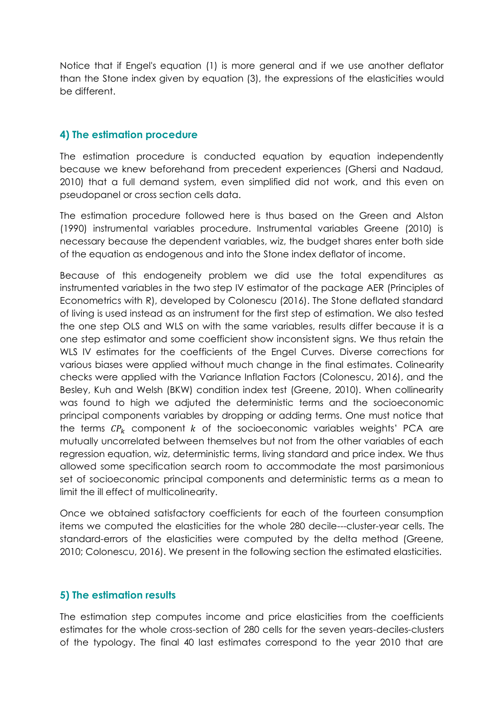Notice that if Engel's equation (1) is more general and if we use another deflator than the Stone index given by equation (3), the expressions of the elasticities would be different.

## **4) The estimation procedure**

The estimation procedure is conducted equation by equation independently because we knew beforehand from precedent experiences (Ghersi and Nadaud, 2010) that a full demand system, even simplified did not work, and this even on pseudopanel or cross section cells data.

The estimation procedure followed here is thus based on the Green and Alston (1990) instrumental variables procedure. Instrumental variables Greene (2010) is necessary because the dependent variables, wiz, the budget shares enter both side of the equation as endogenous and into the Stone index deflator of income.

Because of this endogeneity problem we did use the total expenditures as instrumented variables in the two step IV estimator of the package AER (Principles of Econometrics with R), developed by Colonescu (2016). The Stone deflated standard of living is used instead as an instrument for the first step of estimation. We also tested the one step OLS and WLS on with the same variables, results differ because it is a one step estimator and some coefficient show inconsistent signs. We thus retain the WLS IV estimates for the coefficients of the Engel Curves. Diverse corrections for various biases were applied without much change in the final estimates. Colinearity checks were applied with the Variance Inflation Factors (Colonescu, 2016), and the Besley, Kuh and Welsh (BKW) condition index test (Greene, 2010). When collinearity was found to high we adjuted the deterministic terms and the socioeconomic principal components variables by dropping or adding terms. One must notice that the terms  $\mathcal{CP}_k$  component k of the socioeconomic variables weights' PCA are mutually uncorrelated between themselves but not from the other variables of each regression equation, wiz, deterministic terms, living standard and price index. We thus allowed some specification search room to accommodate the most parsimonious set of socioeconomic principal components and deterministic terms as a mean to limit the ill effect of multicolinearity.

Once we obtained satisfactory coefficients for each of the fourteen consumption items we computed the elasticities for the whole 280 decile---cluster-year cells. The standard-errors of the elasticities were computed by the delta method (Greene, 2010; Colonescu, 2016). We present in the following section the estimated elasticities.

#### **5) The estimation results**

The estimation step computes income and price elasticities from the coefficients estimates for the whole cross-section of 280 cells for the seven years-deciles-clusters of the typology. The final 40 last estimates correspond to the year 2010 that are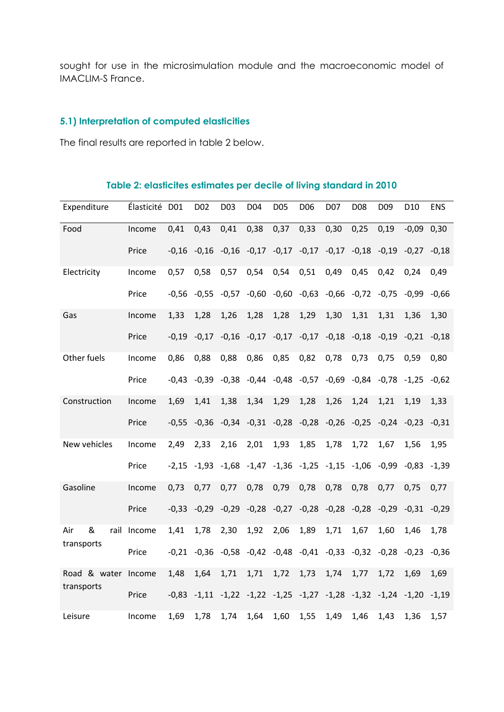sought for use in the microsimulation module and the macroeconomic model of IMACLIM-S France.

# **5.1) Interpretation of computed elasticities**

The final results are reported in table 2 below.

| Expenditure      | Élasticité D01 |         | D <sub>02</sub> | D03     | D04                                                             | D05  | D <sub>06</sub>                 | D07  | D <sub>08</sub>                                 | D <sub>09</sub>                                                         | D <sub>10</sub> | <b>ENS</b> |
|------------------|----------------|---------|-----------------|---------|-----------------------------------------------------------------|------|---------------------------------|------|-------------------------------------------------|-------------------------------------------------------------------------|-----------------|------------|
| Food             | Income         | 0,41    | 0,43            | 0,41    | 0,38                                                            | 0,37 | 0,33                            | 0,30 | 0,25                                            | 0,19                                                                    | $-0,09$         | 0,30       |
|                  | Price          | $-0.16$ | $-0,16$         | $-0,16$ | $-0,17$                                                         |      | $-0,17$ $-0,17$ $-0,17$         |      | $-0,18$                                         | $-0,19$                                                                 | $-0.27$         | $-0,18$    |
| Electricity      | Income         | 0,57    | 0,58            | 0,57    | 0,54                                                            | 0,54 | 0,51                            | 0,49 | 0,45                                            | 0,42                                                                    | 0,24            | 0,49       |
|                  | Price          | $-0,56$ | $-0,55$         | $-0,57$ | $-0,60$                                                         |      |                                 |      | $-0,60$ $-0,63$ $-0,66$ $-0,72$ $-0,75$         |                                                                         | $-0,99$         | $-0,66$    |
| Gas              | Income         | 1,33    | 1,28            | 1,26    | 1,28                                                            | 1,28 | 1,29                            | 1,30 | 1,31                                            | 1,31                                                                    | 1,36            | 1,30       |
|                  | Price          | $-0,19$ |                 |         | $-0.17$ $-0.16$ $-0.17$ $-0.17$ $-0.17$ $-0.18$ $-0.18$ $-0.19$ |      |                                 |      |                                                 |                                                                         | $-0,21$         | $-0,18$    |
| Other fuels      | Income         | 0,86    | 0,88            | 0,88    | 0,86                                                            | 0,85 | 0,82                            | 0,78 | 0,73                                            | 0,75                                                                    | 0,59            | 0,80       |
|                  | Price          | $-0.43$ | $-0.39$         |         |                                                                 |      |                                 |      |                                                 | $-0.38$ $-0.44$ $-0.48$ $-0.57$ $-0.69$ $-0.84$ $-0.78$ $-1.25$         |                 | $-0.62$    |
| Construction     | Income         | 1,69    | 1,41            | 1,38    | 1,34                                                            | 1,29 | 1,28                            | 1,26 | 1,24                                            | 1,21                                                                    | 1,19            | 1,33       |
|                  | Price          | $-0,55$ | $-0,36$         |         |                                                                 |      |                                 |      |                                                 | $-0.34$ $-0.31$ $-0.28$ $-0.28$ $-0.26$ $-0.25$ $-0.24$ $-0.23$         |                 | $-0,31$    |
| New vehicles     | Income         | 2,49    | 2,33            | 2,16    | 2,01                                                            | 1,93 | 1,85                            | 1,78 | 1,72                                            | 1,67                                                                    | 1,56            | 1,95       |
|                  | Price          | $-2,15$ | $-1,93$         | $-1,68$ | $-1,47$                                                         |      | $-1,36$ $-1,25$ $-1,15$ $-1,06$ |      |                                                 | $-0,99$                                                                 | $-0.83$         | $-1,39$    |
| Gasoline         | Income         | 0,73    | 0,77            | 0,77    | 0,78                                                            | 0,79 | 0,78                            | 0,78 | 0,78                                            | 0,77                                                                    | 0,75            | 0,77       |
|                  | Price          | $-0.33$ | $-0,29$         | $-0,29$ |                                                                 |      |                                 |      | $-0,28$ $-0,27$ $-0,28$ $-0,28$ $-0,28$ $-0,29$ |                                                                         | $-0,31$         | $-0.29$    |
| &<br>Air<br>rail | Income         | 1,41    | 1,78            | 2,30    | 1,92                                                            | 2,06 | 1,89                            | 1,71 | 1,67                                            | 1,60                                                                    | 1,46            | 1,78       |
| transports       | Price          | $-0,21$ |                 |         |                                                                 |      |                                 |      |                                                 | $-0.36$ $-0.58$ $-0.42$ $-0.48$ $-0.41$ $-0.33$ $-0.32$ $-0.28$         | $-0,23$         | $-0,36$    |
| Road & water     | Income         | 1,48    | 1,64            | 1,71    | 1,71                                                            | 1,72 | 1,73                            | 1,74 | 1,77                                            | 1,72                                                                    | 1,69            | 1,69       |
| transports       | Price          | $-0,83$ |                 |         |                                                                 |      |                                 |      |                                                 | $-1,11$ $-1,22$ $-1,22$ $-1,25$ $-1,27$ $-1,28$ $-1,32$ $-1,24$ $-1,20$ |                 | $-1,19$    |
| Leisure          | Income         | 1,69    | 1,78            | 1,74    | 1,64                                                            | 1,60 | 1,55                            | 1,49 | 1,46                                            | 1,43                                                                    | 1,36            | 1,57       |

#### **Table 2: elasticites estimates per decile of living standard in 2010**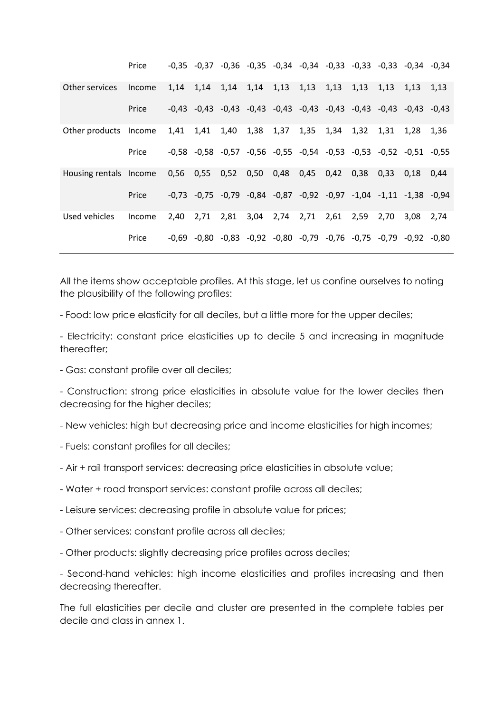|                        | Price  |      | $-0.35$ $-0.37$ $-0.36$ $-0.35$ $-0.34$ $-0.34$ $-0.33$ $-0.33$ $-0.33$ $-0.34$ $-0.34$ |      |               |      |      |      |      |      |      |      |
|------------------------|--------|------|-----------------------------------------------------------------------------------------|------|---------------|------|------|------|------|------|------|------|
| Other services         | Income | 1,14 | 1,14                                                                                    | 1,14 | 1,14          | 1,13 | 1,13 | 1,13 | 1,13 | 1,13 | 1,13 | 1,13 |
|                        | Price  |      | $-0.43$ $-0.43$ $-0.43$ $-0.43$ $-0.43$ $-0.43$ $-0.43$ $-0.43$ $-0.43$ $-0.43$ $-0.43$ |      |               |      |      |      |      |      |      |      |
| Other products Income  |        | 1,41 | 1,41                                                                                    | 1,40 | 1,38          | 1,37 | 1,35 | 1,34 | 1,32 | 1,31 | 1,28 | 1,36 |
|                        | Price  |      | $-0.58$ $-0.58$ $-0.57$ $-0.56$ $-0.55$ $-0.54$ $-0.53$ $-0.53$ $-0.52$ $-0.51$ $-0.55$ |      |               |      |      |      |      |      |      |      |
| Housing rentals Income |        | 0,56 | 0,55                                                                                    | 0,52 | $0,50$ $0,48$ |      | 0,45 | 0,42 | 0.38 | 0,33 | 0.18 | 0.44 |
|                        | Price  |      | $-0.73$ $-0.75$ $-0.79$ $-0.84$ $-0.87$ $-0.92$ $-0.97$ $-1.04$ $-1.11$ $-1.38$ $-0.94$ |      |               |      |      |      |      |      |      |      |
| Used vehicles          | Income | 2,40 | 2,71                                                                                    | 2,81 | 3,04 2,74     |      | 2,71 | 2,61 | 2,59 | 2,70 | 3.08 | 2.74 |
|                        | Price  |      | $-0.69$ $-0.80$ $-0.83$ $-0.92$ $-0.80$ $-0.79$ $-0.76$ $-0.75$ $-0.79$ $-0.92$ $-0.80$ |      |               |      |      |      |      |      |      |      |

All the items show acceptable profiles. At this stage, let us confine ourselves to noting the plausibility of the following profiles:

- Food: low price elasticity for all deciles, but a little more for the upper deciles;

- Electricity: constant price elasticities up to decile 5 and increasing in magnitude thereafter;

- Gas: constant profile over all deciles;

- Construction: strong price elasticities in absolute value for the lower deciles then decreasing for the higher deciles;

- New vehicles: high but decreasing price and income elasticities for high incomes;
- Fuels: constant profiles for all deciles;
- Air + rail transport services: decreasing price elasticities in absolute value;
- Water + road transport services: constant profile across all deciles;
- Leisure services: decreasing profile in absolute value for prices;
- Other services: constant profile across all deciles;
- Other products: slightly decreasing price profiles across deciles;

- Second-hand vehicles: high income elasticities and profiles increasing and then decreasing thereafter.

The full elasticities per decile and cluster are presented in the complete tables per decile and class in annex 1.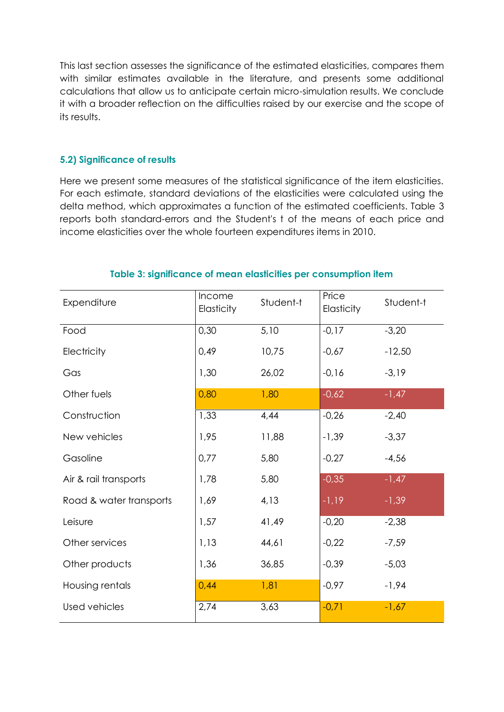This last section assesses the significance of the estimated elasticities, compares them with similar estimates available in the literature, and presents some additional calculations that allow us to anticipate certain micro-simulation results. We conclude it with a broader reflection on the difficulties raised by our exercise and the scope of its results.

#### **5.2) Significance of results**

Here we present some measures of the statistical significance of the item elasticities. For each estimate, standard deviations of the elasticities were calculated using the delta method, which approximates a function of the estimated coefficients. Table 3 reports both standard-errors and the Student's t of the means of each price and income elasticities over the whole fourteen expenditures items in 2010.

| Expenditure             | Income<br>Elasticity | Student-t | Price<br>Elasticity | Student-t |
|-------------------------|----------------------|-----------|---------------------|-----------|
| Food                    | 0,30                 | 5,10      | $-0,17$             | $-3,20$   |
| Electricity             | 0,49                 | 10,75     | $-0,67$             | $-12,50$  |
| Gas                     | 1,30                 | 26,02     | $-0,16$             | $-3,19$   |
| Other fuels             | 0,80                 | 1,80      | $-0,62$             | $-1,47$   |
| Construction            | 1,33                 | 4,44      | $-0,26$             | $-2,40$   |
| New vehicles            | 1,95                 | 11,88     | $-1,39$             | $-3,37$   |
| Gasoline                | 0,77                 | 5,80      | $-0,27$             | $-4,56$   |
| Air & rail transports   | 1,78                 | 5,80      | $-0,35$             | $-1,47$   |
| Road & water transports | 1,69                 | 4,13      | $-1,19$             | $-1,39$   |
| Leisure                 | 1,57                 | 41,49     | $-0,20$             | $-2,38$   |
| Other services          | 1,13                 | 44,61     | $-0,22$             | $-7,59$   |
| Other products          | 1,36                 | 36,85     | $-0,39$             | $-5,03$   |
| Housing rentals         | 0,44                 | 1,81      | $-0,97$             | $-1,94$   |
| Used vehicles           | 2,74                 | 3,63      | $-0,71$             | $-1,67$   |

#### **Table 3: significance of mean elasticities per consumption item**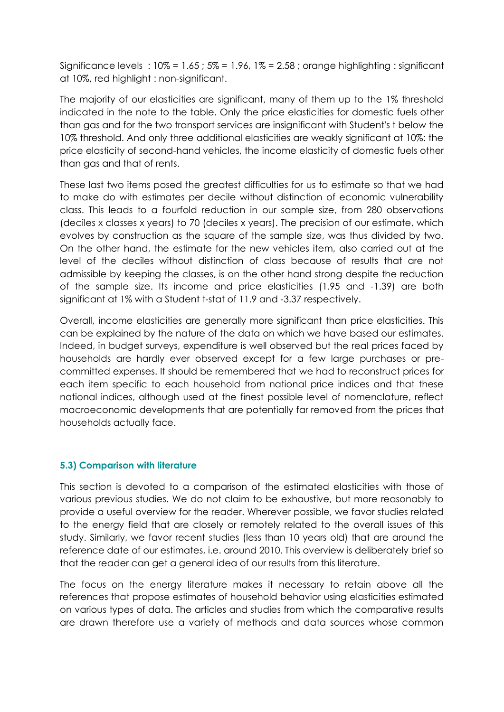Significance levels : 10% = 1.65 ; 5% = 1.96, 1% = 2.58 ; orange highlighting : significant at 10%, red highlight : non-significant.

The majority of our elasticities are significant, many of them up to the 1% threshold indicated in the note to the table. Only the price elasticities for domestic fuels other than gas and for the two transport services are insignificant with Student's t below the 10% threshold. And only three additional elasticities are weakly significant at 10%: the price elasticity of second-hand vehicles, the income elasticity of domestic fuels other than gas and that of rents.

These last two items posed the greatest difficulties for us to estimate so that we had to make do with estimates per decile without distinction of economic vulnerability class. This leads to a fourfold reduction in our sample size, from 280 observations (deciles x classes x years) to 70 (deciles x years). The precision of our estimate, which evolves by construction as the square of the sample size, was thus divided by two. On the other hand, the estimate for the new vehicles item, also carried out at the level of the deciles without distinction of class because of results that are not admissible by keeping the classes, is on the other hand strong despite the reduction of the sample size. Its income and price elasticities (1.95 and -1.39) are both significant at 1% with a Student t-stat of 11.9 and -3.37 respectively.

Overall, income elasticities are generally more significant than price elasticities. This can be explained by the nature of the data on which we have based our estimates. Indeed, in budget surveys, expenditure is well observed but the real prices faced by households are hardly ever observed except for a few large purchases or precommitted expenses. It should be remembered that we had to reconstruct prices for each item specific to each household from national price indices and that these national indices, although used at the finest possible level of nomenclature, reflect macroeconomic developments that are potentially far removed from the prices that households actually face.

#### **5.3) Comparison with literature**

This section is devoted to a comparison of the estimated elasticities with those of various previous studies. We do not claim to be exhaustive, but more reasonably to provide a useful overview for the reader. Wherever possible, we favor studies related to the energy field that are closely or remotely related to the overall issues of this study. Similarly, we favor recent studies (less than 10 years old) that are around the reference date of our estimates, i.e. around 2010. This overview is deliberately brief so that the reader can get a general idea of our results from this literature.

The focus on the energy literature makes it necessary to retain above all the references that propose estimates of household behavior using elasticities estimated on various types of data. The articles and studies from which the comparative results are drawn therefore use a variety of methods and data sources whose common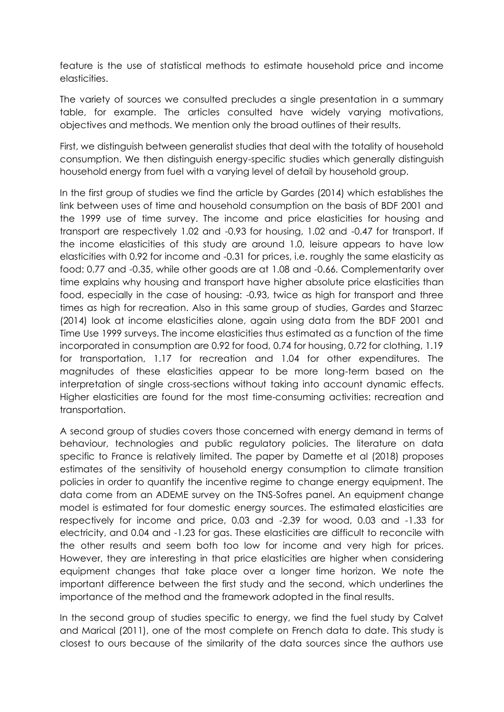feature is the use of statistical methods to estimate household price and income elasticities.

The variety of sources we consulted precludes a single presentation in a summary table, for example. The articles consulted have widely varying motivations, objectives and methods. We mention only the broad outlines of their results.

First, we distinguish between generalist studies that deal with the totality of household consumption. We then distinguish energy-specific studies which generally distinguish household energy from fuel with a varying level of detail by household group.

In the first group of studies we find the article by Gardes (2014) which establishes the link between uses of time and household consumption on the basis of BDF 2001 and the 1999 use of time survey. The income and price elasticities for housing and transport are respectively 1.02 and -0.93 for housing, 1.02 and -0.47 for transport. If the income elasticities of this study are around 1.0, leisure appears to have low elasticities with 0.92 for income and -0.31 for prices, i.e. roughly the same elasticity as food: 0.77 and -0.35, while other goods are at 1.08 and -0.66. Complementarity over time explains why housing and transport have higher absolute price elasticities than food, especially in the case of housing: -0.93, twice as high for transport and three times as high for recreation. Also in this same group of studies, Gardes and Starzec (2014) look at income elasticities alone, again using data from the BDF 2001 and Time Use 1999 surveys. The income elasticities thus estimated as a function of the time incorporated in consumption are 0.92 for food, 0.74 for housing, 0.72 for clothing, 1.19 for transportation, 1.17 for recreation and 1.04 for other expenditures. The magnitudes of these elasticities appear to be more long-term based on the interpretation of single cross-sections without taking into account dynamic effects. Higher elasticities are found for the most time-consuming activities: recreation and transportation.

A second group of studies covers those concerned with energy demand in terms of behaviour, technologies and public regulatory policies. The literature on data specific to France is relatively limited. The paper by Damette et al (2018) proposes estimates of the sensitivity of household energy consumption to climate transition policies in order to quantify the incentive regime to change energy equipment. The data come from an ADEME survey on the TNS-Sofres panel. An equipment change model is estimated for four domestic energy sources. The estimated elasticities are respectively for income and price, 0.03 and -2.39 for wood, 0.03 and -1.33 for electricity, and 0.04 and -1.23 for gas. These elasticities are difficult to reconcile with the other results and seem both too low for income and very high for prices. However, they are interesting in that price elasticities are higher when considering equipment changes that take place over a longer time horizon. We note the important difference between the first study and the second, which underlines the importance of the method and the framework adopted in the final results.

In the second group of studies specific to energy, we find the fuel study by Calvet and Marical (2011), one of the most complete on French data to date. This study is closest to ours because of the similarity of the data sources since the authors use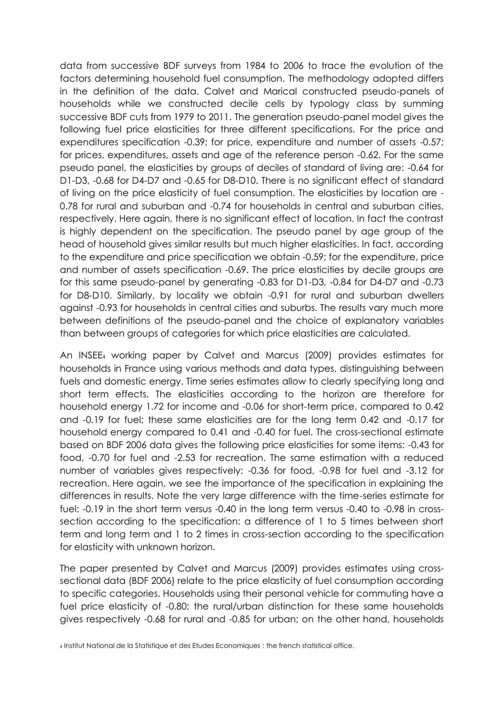data from successive BDF surveys from 1984 to 2006 to trace the evolution of the factors determining household fuel consumption. The methodology adopted differs in the definition of the data. Calvet and Marical constructed pseudo-panels of households while we constructed decile cells by typology class by summing successive BDF cuts from 1979 to 2011. The generation pseudo-panel model gives the following fuel price elasticities for three different specifications. For the price and expenditures specification -0.39; for price, expenditure and number of assets -0.57; for prices, expenditures, assets and age of the reference person -0.62. For the same pseudo panel, the elasticities by groups of deciles of standard of living are: -0.64 for D1-D3, -0.68 for D4-D7 and -0.65 for D8-D10. There is no significant effect of standard of living on the price elasticity of fuel consumption. The elasticities by location are - 0.78 for rural and suburban and -0.74 for households in central and suburban cities, respectively. Here again, there is no significant effect of location. In fact the contrast is highly dependent on the specification. The pseudo panel by age group of the head of household gives similar results but much higher elasticities. In fact, according to the expenditure and price specification we obtain -0.59; for the expenditure, price and number of assets specification -0.69. The price elasticities by decile groups are for this same pseudo-panel by generating -0.83 for D1-D3, -0.84 for D4-D7 and -0.73 for D8-D10. Similarly, by locality we obtain -0.91 for rural and suburban dwellers against -0.93 for households in central cities and suburbs. The results vary much more between definitions of the pseudo-panel and the choice of explanatory variables than between groups of categories for which price elasticities are calculated.

An INSEE<sup>4</sup> working paper by Calvet and Marcus (2009) provides estimates for households in France using various methods and data types, distinguishing between fuels and domestic energy. Time series estimates allow to clearly specifying long and short term effects. The elasticities according to the horizon are therefore for household energy 1.72 for income and -0.06 for short-term price, compared to 0.42 and -0.19 for fuel; these same elasticities are for the long term 0.42 and -0.17 for household energy compared to 0.41 and -0.40 for fuel. The cross-sectional estimate based on BDF 2006 data gives the following price elasticities for some items: -0.43 for food, -0.70 for fuel and -2.53 for recreation. The same estimation with a reduced number of variables gives respectively: -0.36 for food, -0.98 for fuel and -3.12 for recreation. Here again, we see the importance of the specification in explaining the differences in results. Note the very large difference with the time-series estimate for fuel: -0.19 in the short term versus -0.40 in the long term versus -0.40 to -0.98 in crosssection according to the specification: a difference of 1 to 5 times between short term and long term and 1 to 2 times in cross-section according to the specification for elasticity with unknown horizon.

The paper presented by Calvet and Marcus (2009) provides estimates using crosssectional data (BDF 2006) relate to the price elasticity of fuel consumption according to specific categories. Households using their personal vehicle for commuting have a fuel price elasticity of -0.80; the rural/urban distinction for these same households gives respectively -0.68 for rural and -0.85 for urban; on the other hand, households

<sup>4</sup> Institut National de la Statistique et des Etudes Economiques : the french statistical office.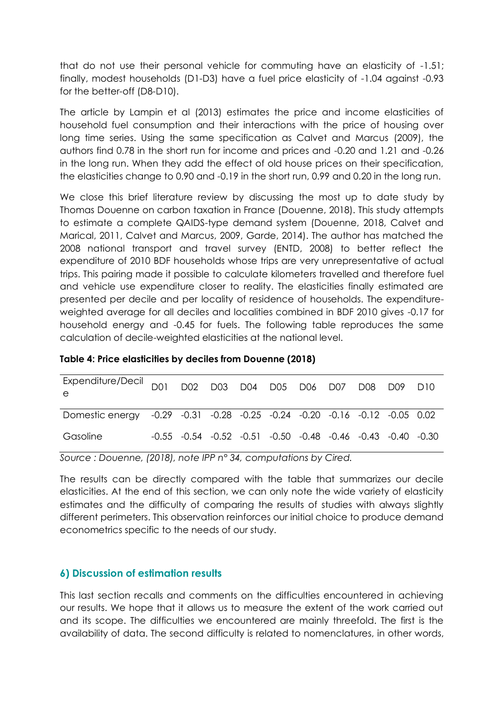that do not use their personal vehicle for commuting have an elasticity of -1.51; finally, modest households (D1-D3) have a fuel price elasticity of -1.04 against -0.93 for the better-off (D8-D10).

The article by Lampin et al (2013) estimates the price and income elasticities of household fuel consumption and their interactions with the price of housing over long time series. Using the same specification as Calvet and Marcus (2009), the authors find 0.78 in the short run for income and prices and -0.20 and 1.21 and -0.26 in the long run. When they add the effect of old house prices on their specification, the elasticities change to 0.90 and -0.19 in the short run, 0.99 and 0.20 in the long run.

We close this brief literature review by discussing the most up to date study by Thomas Douenne on carbon taxation in France (Douenne, 2018). This study attempts to estimate a complete QAIDS-type demand system (Douenne, 2018, Calvet and Marical, 2011, Calvet and Marcus, 2009, Garde, 2014). The author has matched the 2008 national transport and travel survey (ENTD, 2008) to better reflect the expenditure of 2010 BDF households whose trips are very unrepresentative of actual trips. This pairing made it possible to calculate kilometers travelled and therefore fuel and vehicle use expenditure closer to reality. The elasticities finally estimated are presented per decile and per locality of residence of households. The expenditureweighted average for all deciles and localities combined in BDF 2010 gives -0.17 for household energy and -0.45 for fuels. The following table reproduces the same calculation of decile-weighted elasticities at the national level.

| Expenditure/Decil D01 D02 D03 D04 D05 D06 D07 D08 D09 D10<br>e             |  |  |                                                                                 |  |  |  |
|----------------------------------------------------------------------------|--|--|---------------------------------------------------------------------------------|--|--|--|
| Domestic energy -0.29 -0.31 -0.28 -0.25 -0.24 -0.20 -0.16 -0.12 -0.05 0.02 |  |  |                                                                                 |  |  |  |
| Gasoline                                                                   |  |  | $-0.55$ $-0.54$ $-0.52$ $-0.51$ $-0.50$ $-0.48$ $-0.46$ $-0.43$ $-0.40$ $-0.30$ |  |  |  |

#### **Table 4: Price elasticities by deciles from Douenne (2018)**

*Source : Douenne, (2018), note IPP n° 34, computations by Cired.*

The results can be directly compared with the table that summarizes our decile elasticities. At the end of this section, we can only note the wide variety of elasticity estimates and the difficulty of comparing the results of studies with always slightly different perimeters. This observation reinforces our initial choice to produce demand econometrics specific to the needs of our study.

## **6) Discussion of estimation results**

This last section recalls and comments on the difficulties encountered in achieving our results. We hope that it allows us to measure the extent of the work carried out and its scope. The difficulties we encountered are mainly threefold. The first is the availability of data. The second difficulty is related to nomenclatures, in other words,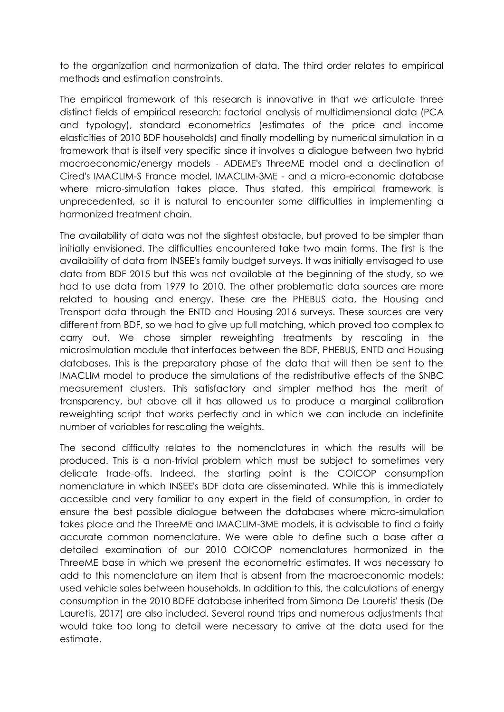to the organization and harmonization of data. The third order relates to empirical methods and estimation constraints.

The empirical framework of this research is innovative in that we articulate three distinct fields of empirical research: factorial analysis of multidimensional data (PCA and typology), standard econometrics (estimates of the price and income elasticities of 2010 BDF households) and finally modelling by numerical simulation in a framework that is itself very specific since it involves a dialogue between two hybrid macroeconomic/energy models - ADEME's ThreeME model and a declination of Cired's IMACLIM-S France model, IMACLIM-3ME - and a micro-economic database where micro-simulation takes place. Thus stated, this empirical framework is unprecedented, so it is natural to encounter some difficulties in implementing a harmonized treatment chain.

The availability of data was not the slightest obstacle, but proved to be simpler than initially envisioned. The difficulties encountered take two main forms. The first is the availability of data from INSEE's family budget surveys. It was initially envisaged to use data from BDF 2015 but this was not available at the beginning of the study, so we had to use data from 1979 to 2010. The other problematic data sources are more related to housing and energy. These are the PHEBUS data, the Housing and Transport data through the ENTD and Housing 2016 surveys. These sources are very different from BDF, so we had to give up full matching, which proved too complex to carry out. We chose simpler reweighting treatments by rescaling in the microsimulation module that interfaces between the BDF, PHEBUS, ENTD and Housing databases. This is the preparatory phase of the data that will then be sent to the IMACLIM model to produce the simulations of the redistributive effects of the SNBC measurement clusters. This satisfactory and simpler method has the merit of transparency, but above all it has allowed us to produce a marginal calibration reweighting script that works perfectly and in which we can include an indefinite number of variables for rescaling the weights.

The second difficulty relates to the nomenclatures in which the results will be produced. This is a non-trivial problem which must be subject to sometimes very delicate trade-offs. Indeed, the starting point is the COICOP consumption nomenclature in which INSEE's BDF data are disseminated. While this is immediately accessible and very familiar to any expert in the field of consumption, in order to ensure the best possible dialogue between the databases where micro-simulation takes place and the ThreeME and IMACLIM-3ME models, it is advisable to find a fairly accurate common nomenclature. We were able to define such a base after a detailed examination of our 2010 COICOP nomenclatures harmonized in the ThreeME base in which we present the econometric estimates. It was necessary to add to this nomenclature an item that is absent from the macroeconomic models: used vehicle sales between households. In addition to this, the calculations of energy consumption in the 2010 BDFE database inherited from Simona De Lauretis' thesis (De Lauretis, 2017) are also included. Several round trips and numerous adjustments that would take too long to detail were necessary to arrive at the data used for the estimate.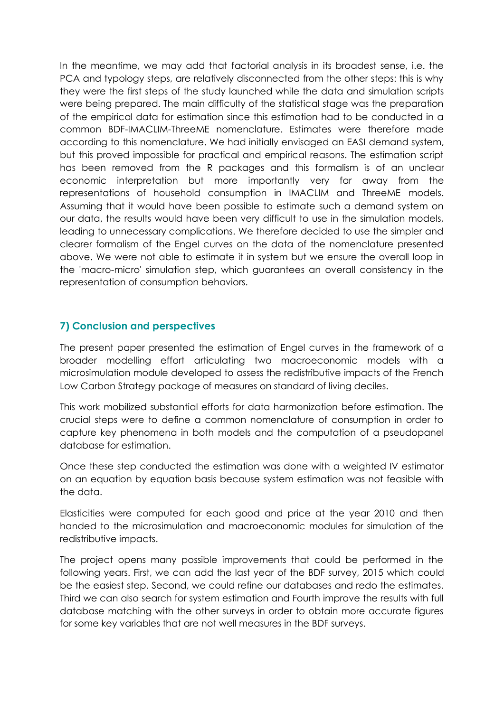In the meantime, we may add that factorial analysis in its broadest sense, i.e. the PCA and typology steps, are relatively disconnected from the other steps: this is why they were the first steps of the study launched while the data and simulation scripts were being prepared. The main difficulty of the statistical stage was the preparation of the empirical data for estimation since this estimation had to be conducted in a common BDF-IMACLIM-ThreeME nomenclature. Estimates were therefore made according to this nomenclature. We had initially envisaged an EASI demand system, but this proved impossible for practical and empirical reasons. The estimation script has been removed from the R packages and this formalism is of an unclear economic interpretation but more importantly very far away from the representations of household consumption in IMACLIM and ThreeME models. Assuming that it would have been possible to estimate such a demand system on our data, the results would have been very difficult to use in the simulation models, leading to unnecessary complications. We therefore decided to use the simpler and clearer formalism of the Engel curves on the data of the nomenclature presented above. We were not able to estimate it in system but we ensure the overall loop in the 'macro-micro' simulation step, which guarantees an overall consistency in the representation of consumption behaviors.

# **7) Conclusion and perspectives**

The present paper presented the estimation of Engel curves in the framework of a broader modelling effort articulating two macroeconomic models with a microsimulation module developed to assess the redistributive impacts of the French Low Carbon Strategy package of measures on standard of living deciles.

This work mobilized substantial efforts for data harmonization before estimation. The crucial steps were to define a common nomenclature of consumption in order to capture key phenomena in both models and the computation of a pseudopanel database for estimation.

Once these step conducted the estimation was done with a weighted IV estimator on an equation by equation basis because system estimation was not feasible with the data.

Elasticities were computed for each good and price at the year 2010 and then handed to the microsimulation and macroeconomic modules for simulation of the redistributive impacts.

The project opens many possible improvements that could be performed in the following years. First, we can add the last year of the BDF survey, 2015 which could be the easiest step. Second, we could refine our databases and redo the estimates. Third we can also search for system estimation and Fourth improve the results with full database matching with the other surveys in order to obtain more accurate figures for some key variables that are not well measures in the BDF surveys.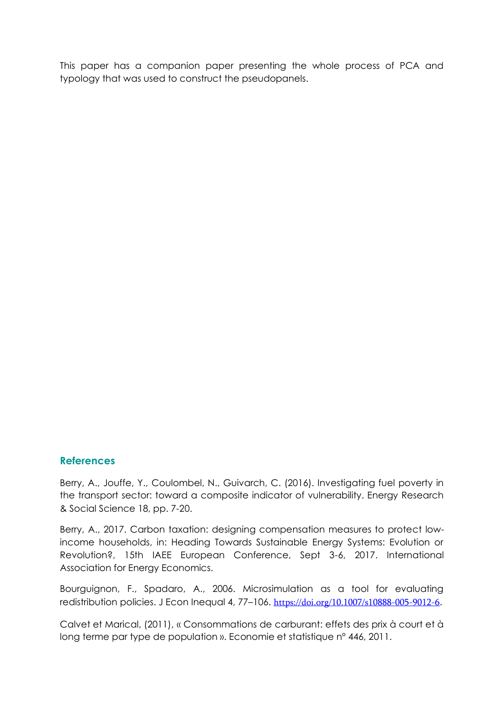This paper has a companion paper presenting the whole process of PCA and typology that was used to construct the pseudopanels.

#### **References**

Berry, A., Jouffe, Y., Coulombel, N., Guivarch, C. (2016). Investigating fuel poverty in the transport sector: toward a composite indicator of vulnerability. Energy Research & Social Science 18, pp. 7-20.

Berry, A., 2017. Carbon taxation: designing compensation measures to protect lowincome households, in: Heading Towards Sustainable Energy Systems: Evolution or Revolution?, 15th IAEE European Conference, Sept 3-6, 2017. International Association for Energy Economics.

Bourguignon, F., Spadaro, A., 2006. Microsimulation as a tool for evaluating redistribution policies. J Econ Inequal 4, 77-106. https://doi.org/10.1007/s10888-005-9012-6.

Calvet et Marical, (2011), « Consommations de carburant: effets des prix à court et à long terme par type de population ». Economie et statistique n° 446, 2011.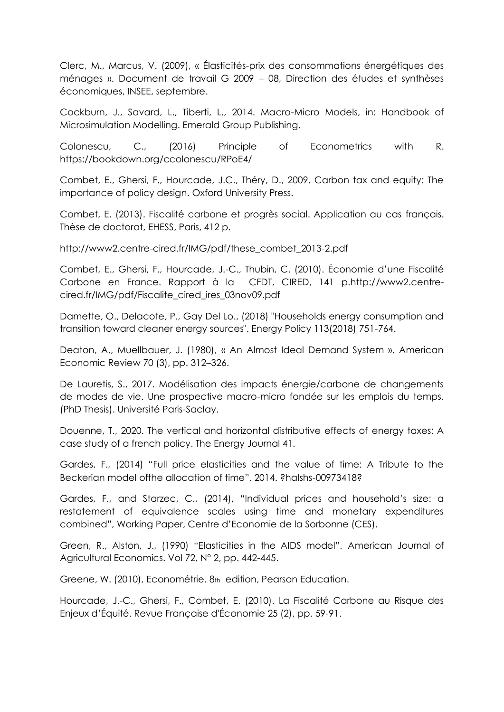Clerc, M., Marcus, V. (2009), « Élasticités-prix des consommations énergétiques des ménages ». Document de travail G 2009 - 08, Direction des études et synthèses économiques, INSEE, septembre.

Cockburn, J., Savard, L., Tiberti, L., 2014. Macro-Micro Models, in: Handbook of Microsimulation Modelling. Emerald Group Publishing.

Colonescu, C., (2016) Principle of Econometrics with R. https://bookdown.org/ccolonescu/RPoE4/

Combet, E., Ghersi, F., Hourcade, J.C., Théry, D., 2009. Carbon tax and equity: The importance of policy design. Oxford University Press.

Combet, E. (2013). Fiscalité carbone et progrès social. Application au cas français. Thèse de doctorat, EHESS, Paris, 412 p.

http://www2.centre-cired.fr/IMG/pdf/these\_combet\_2013-2.pdf

Combet, E., Ghersi, F., Hourcade, J.-C., Thubin, C. (2010). Économie d'une Fiscalité Carbone en France. Rapport à la CFDT, CIRED, 141 p.http://www2.centrecired.fr/IMG/pdf/Fiscalite\_cired\_ires\_03nov09.pdf

Damette, O., Delacote, P., Gay Del Lo., (2018) "Households energy consumption and transition toward cleaner energy sources". Energy Policy 113(2018) 751-764.

Deaton, A., Muellbauer, J. (1980), « An Almost Ideal Demand System ». American Economic Review 70 (3), pp. 312-326.

De Lauretis, S., 2017. Modélisation des impacts énergie/carbone de changements de modes de vie. Une prospective macro-micro fondée sur les emplois du temps. (PhD Thesis). Université Paris-Saclay.

Douenne, T., 2020. The vertical and horizontal distributive effects of energy taxes: A case study of a french policy. The Energy Journal 41.

Gardes, F., (2014) ´Full price elasticities and the value of time: A Tribute to the Beckerian model of the allocation of time", 2014. ?halshs-00973418?

Gardes, F., and Starzec, C., (2014), "Individual prices and household's size: a restatement of equivalence scales using time and monetary expenditures combined", Working Paper, Centre d'Economie de la Sorbonne (CES).

Green, R., Alston, J., (1990) "Elasticities in the AIDS model". American Journal of Agricultural Economics. Vol 72, N° 2, pp. 442-445.

Greene, W. (2010), Econométrie. 8th edition, Pearson Education.

Hourcade, J.-C., Ghersi, F., Combet, E. (2010). La Fiscalité Carbone au Risque des Enjeux d'Équité. Revue Française d'Économie 25 (2), pp. 59-91.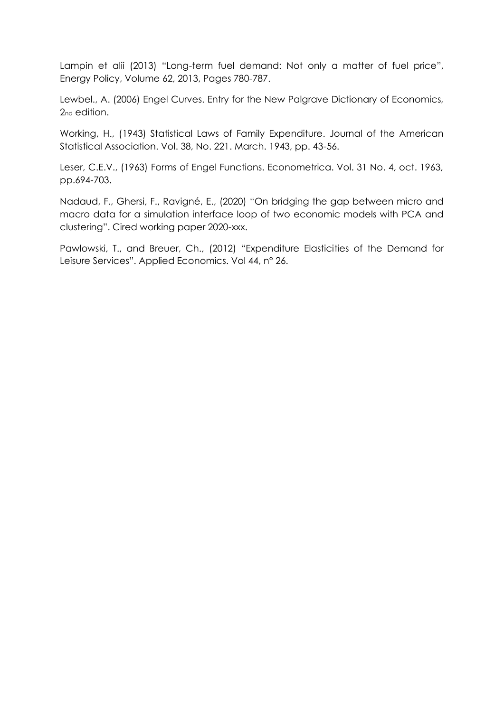Lampin et alii (2013) "Long-term fuel demand: Not only a matter of fuel price", Energy Policy, Volume 62, 2013, Pages 780-787.

Lewbel., A. (2006) Engel Curves. Entry for the New Palgrave Dictionary of Economics, 2<sub>nd</sub> edition.

Working, H., (1943) Statistical Laws of Family Expenditure. Journal of the American Statistical Association. Vol. 38, No. 221. March. 1943, pp. 43-56.

Leser, C.E.V., (1963) Forms of Engel Functions. Econometrica. Vol. 31 No. 4, oct. 1963, pp.694-703.

Nadaud, F., Ghersi, F., Ravigné, E., (2020) "On bridging the gap between micro and macro data for a simulation interface loop of two economic models with PCA and clustering". Cired working paper 2020-xxx.

Pawlowski, T., and Breuer, Ch., (2012) "Expenditure Elasticities of the Demand for Leisure Services". Applied Economics. Vol 44, nº 26.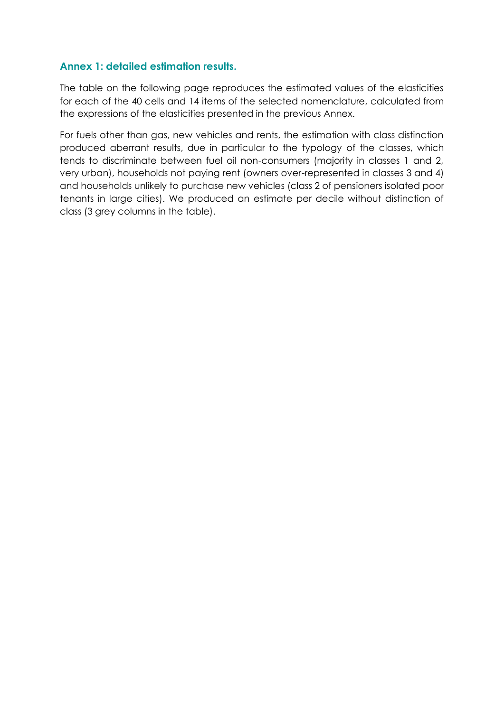#### **Annex 1: detailed estimation results.**

The table on the following page reproduces the estimated values of the elasticities for each of the 40 cells and 14 items of the selected nomenclature, calculated from the expressions of the elasticities presented in the previous Annex.

For fuels other than gas, new vehicles and rents, the estimation with class distinction produced aberrant results, due in particular to the typology of the classes, which tends to discriminate between fuel oil non-consumers (majority in classes 1 and 2, very urban), households not paying rent (owners over-represented in classes 3 and 4) and households unlikely to purchase new vehicles (class 2 of pensioners isolated poor tenants in large cities). We produced an estimate per decile without distinction of class (3 grey columns in the table).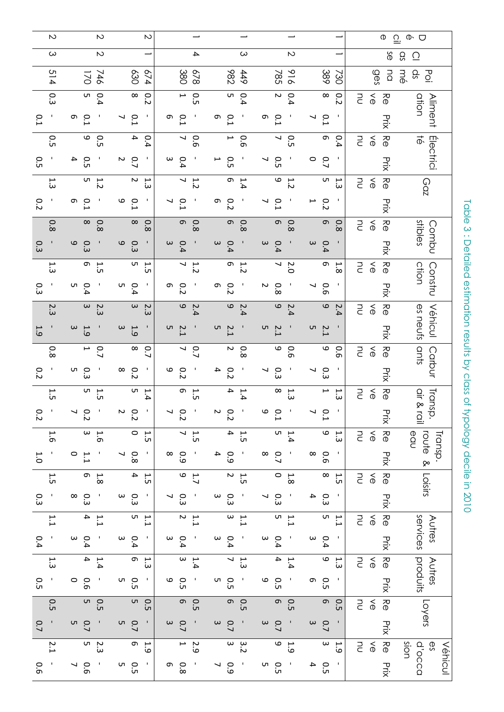|     | N           |                     | $\sim$                                    |                   |                          | N   |                   |                          |                                           |                          |                          |                                            |          |                          |                                     |                          |            |               |                         |                                 | Ф                                  | $\subseteq$<br>$\Phi$ $\Box$          |
|-----|-------------|---------------------|-------------------------------------------|-------------------|--------------------------|-----|-------------------|--------------------------|-------------------------------------------|--------------------------|--------------------------|--------------------------------------------|----------|--------------------------|-------------------------------------|--------------------------|------------|---------------|-------------------------|---------------------------------|------------------------------------|---------------------------------------|
|     | ယ           |                     | $\sim$                                    |                   |                          |     |                   |                          | 4                                         |                          |                          | ယ                                          |          |                          | $\sim$                              |                          |            |               |                         |                                 | δŚ                                 | SD<br>$\overline{\Omega}$             |
|     | 514         |                     | 746<br>170                                |                   | 030                      | 674 |                   |                          | 678<br>380                                |                          | 286                      | 449                                        |          | 785                      | 916                                 |                          | 389        | 730           |                         | ges                             | <b>DQ</b>                          | qs<br>mė<br>$\overline{O}$ .          |
|     | 0.3         |                     | $\begin{array}{c} 0.4 \\ 5.4 \end{array}$ |                   | $\infty$                 | 0.2 |                   | $\blacktriangleright$    | <b>O.5</b>                                |                          |                          | $\begin{array}{c}0.4\\5\end{array}$        |          |                          | $\begin{array}{c}0.4\\2\end{array}$ |                          | $\infty$   | 0.2           | m                       | $\delta$                        | КQ                                 | ation                                 |
| 0.1 |             | თ<br>$\overline{L}$ |                                           | ↘                 | 0.1                      |     | თ                 | $\overline{L}$           |                                           | თ                        | 0.1                      |                                            | თ        | 0.1                      |                                     | ↘                        | 0.1        |               |                         |                                 | Prix                               | <b>Aliment</b>                        |
|     | С.          |                     | $\mathbf \omega$<br>0.5                   |                   | 4                        | 0.4 |                   | $\overline{\phantom{a}}$ | 0.6                                       |                          | $\mapsto$                | 0.6                                        |          | $\overline{\phantom{0}}$ | O.5                                 |                          | თ          | 0.4           | $\Xi$                   | $\delta$                        | R<br>O                             | $\vec{\Phi}$                          |
| С.  | J.          | 4                   | С.                                        | N                 | $\overline{C}$           |     | ω                 | 0.4                      |                                           | ⊢                        | С.                       |                                            | ↘        | С.                       |                                     | 0                        | 0.7        |               |                         |                                 |                                    | Electrici                             |
|     | $\ddot{3}$  |                     | UЛ<br>1.2                                 |                   | $\sim$                   | 1.3 |                   | ↘                        | $\frac{1}{2}$                             |                          | G                        | 1.4                                        |          | $\mathbf \omega$         | $\frac{1}{2}$                       |                          | UП         | م ہے<br>ت     | FD.                     | $\stackrel{<}{\circ}$           | у<br>Ф                             | Coz                                   |
| 0.2 | J.          | თ<br>0.1            |                                           | ဖ                 | 0.1                      |     |                   | 0.1                      |                                           | თ                        | $\overline{c}$           |                                            |          | 0.1                      |                                     | ⊢                        | 0.2        |               |                         |                                 | Prix                               |                                       |
|     | 0.8         |                     | $\infty$<br>0.8                           |                   | $\infty$                 | 0.8 |                   | $\sigma$                 | 0.8                                       |                          | တ                        | $\overline{8}$ .0                          |          | $\sigma$                 | 0.8                                 |                          | တ          | 0.8           | <b>PD</b>               | $\stackrel{\textstyle<}{\circ}$ | КФ                                 | stibles<br>Combu                      |
| 0.3 |             | 6<br>0.3            |                                           | $\mathbf{\Omega}$ | Ο.                       |     | $\omega$          | 0.4                      |                                           | $\omega$                 | 0.4                      |                                            | $\omega$ | 0.4                      |                                     | $\omega$                 | 0.4        |               |                         |                                 | Prix                               |                                       |
|     | 1.3         |                     | 1.5<br>0                                  |                   | C                        | 1.5 |                   | $\overline{\phantom{0}}$ | $\frac{1}{2}$                             |                          | თ,                       | 1.2                                        |          | $\overline{v}$           | 2.0                                 |                          | თ          | $\frac{1}{8}$ | m                       | $\lessapprox$                   | у<br>Ф                             | Constru<br>ction                      |
| Ο.3 |             | UТ<br>0.4           |                                           | UП                | 0.4                      |     | თ                 | $\overline{c}$           |                                           | თ                        | $\overline{c}$           |                                            | Z        | 0.8                      |                                     | ↘                        | 0.6        |               |                         |                                 |                                    |                                       |
|     | 2.3         |                     | $\boldsymbol{\omega}$<br>2.3              |                   | $\omega$                 | 2.3 |                   | $\mathbf{\Theta}$        | 2.4                                       |                          | $\circ$                  | 2.4                                        |          | $\mathbf{\Theta}$        | 2.4                                 |                          | $\circ$    | 2.4           | FC                      | $\delta$                        | у<br>Ф                             | Véhicul<br>es neufs                   |
| 1.9 |             | $\omega$            | 1.9                                       | $\omega$          | 1.9                      |     | UT .              | 5.7                      |                                           | UТ                       | 5.1                      |                                            | UТ       | 2.1                      |                                     | UТ                       | 2.1        |               |                         |                                 | <b>HIX</b>                         |                                       |
|     | 0.8         |                     | $\blacktriangleright$<br>0.7              |                   | $\infty$                 | 0.7 |                   |                          | $\frac{0.7}{7}$                           |                          | $\boldsymbol{\sim}$      | $\frac{0}{8}$                              |          |                          | 0.6<br>0                            |                          | $\circ$    | 0.6           | PU.                     | $\delta$                        | R<br>O                             | ants<br>Carbur                        |
| 0.2 |             | C<br>ςő             |                                           | $\infty$          | $\overline{c}$           |     | 6                 | $\overline{c}$           |                                           | 4                        | $\overline{c}$           |                                            | ↘        | Ο.                       |                                     | ↘                        | Ω.3        |               |                         |                                 | Prix                               |                                       |
|     | ί.,         |                     | UП<br>1.5                                 |                   | UП                       | 1.4 |                   | თ                        | 1.5                                       |                          | 4                        | 1.4                                        |          | $\infty$                 | ξ                                   |                          | ⊢          | 1.3           | PU.                     | $\delta$                        | )<br>이                             | Transp.<br>air & rail                 |
| 0.2 |             | ↘                   | 0.2                                       | N                 | 0.2                      |     | ↘                 | 0.2                      |                                           | Z                        | 0.2                      |                                            | $\circ$  | 0.1                      |                                     |                          | 0.1        |               |                         |                                 | Prix                               |                                       |
|     | 1.6         |                     | $\omega$<br>1.6                           |                   | $\circ$                  | 1.5 |                   | $\overline{\phantom{0}}$ | 1.5                                       |                          | $\overline{4}$           | $\overline{1.5}$                           |          | LΠ                       | 1.4                                 |                          | $\circ$    | 1.3           | PU<br>D                 | $\lessapprox$                   | R<br>O                             | route &<br>eau<br>Transp.             |
| 1.0 | J,          | $\circ$             | 1.1                                       | ┙                 | $\overline{8}$           | J.  | $\infty$          | 0.9                      |                                           | 4                        | 0.9                      |                                            | $\infty$ | 0.7                      |                                     | $\infty$                 | 0.6        | p             |                         |                                 | Prix                               |                                       |
|     | $\ddot{1}$  |                     | $\frac{1.8}{6}$                           |                   | $\overline{\phantom{a}}$ | 1.5 |                   |                          | $\begin{array}{c} 1.7 \\ 0.7 \end{array}$ |                          |                          | $\frac{1.5}{2}$                            |          | $\circ$                  | 1.8                                 |                          | $\infty$   | ί.            | m<br>S                  | $\lessapprox$                   | $\frac{\partial}{\partial \theta}$ | Loisirs                               |
| 0.3 | $\mathbf I$ | $\infty$<br>Ο.<br>Ω |                                           | $\omega$          | 0.3                      | p   |                   | 0.3                      |                                           | $\boldsymbol{\omega}$    | ပ္ပ                      |                                            | ↘        | Ω.3                      |                                     | 4                        | 0.3        |               |                         |                                 | PriX                               |                                       |
|     | 1.1         |                     | $\overline{\bf 4}$<br>1.1                 |                   | UЛ                       | 1.1 |                   | $\sim$                   | 1.1                                       |                          | $\boldsymbol{\omega}$    | 1.1                                        |          | U                        | 1.1                                 |                          | C          | 1.1           | $\Xi$                   | $\stackrel{\textstyle<}{\circ}$ | -<br>ବ                             | services<br>Autres                    |
| 0.4 |             | 0.4<br>$\mathsf{w}$ |                                           | $\omega$          | 0.4                      | J,  | $\mathsf{\omega}$ | 0.4                      | I                                         | $\omega$                 | 0.4                      | $\mathbf{I}$                               | $\omega$ | 0.4                      |                                     | $\omega$                 | 0.4        |               |                         |                                 | Prix                               |                                       |
|     | 1.3         |                     | $\overline{\phantom{a}}$<br>1.4           |                   | თ                        | 1.3 |                   | $\omega$                 | 1.4                                       |                          | $\overline{\phantom{0}}$ | 1.3                                        |          | $\overline{\phantom{a}}$ | 1.4                                 |                          | $\circ$    | 1.3           | $\overline{\mathsf{C}}$ | $\lessapprox$                   | КФ                                 | produits<br>Autres                    |
| О.  | $\mathbf I$ | $\circ$             | 0.6                                       | UП                | O.5                      | Ŧ   | 6                 | O.5                      |                                           | UЛ                       | 0.5                      | $\mathbf{I}$                               | 6        | <b>O.5</b>               |                                     | თ                        | 0.5        | J,            |                         |                                 | Prix                               |                                       |
|     | <b>O.5</b>  |                     | LΠ<br>0.5                                 |                   | UП                       | 0.5 |                   | G)                       | 0.5                                       |                          | G)                       | O.5                                        |          | <b>)</b>                 | O.5                                 |                          | $\sigma$   | 0.5           | $\subseteq$             | $\stackrel{\textstyle<}{\circ}$ | $\Theta$ ଧ $\overline{\Theta}$     | Loyers                                |
| 0.7 | $\mathsf I$ | C                   | 0.7                                       | UT .              | $\overline{C}$           |     | $\omega$          | $\overline{C}$           |                                           | $\omega$                 | 0.7                      |                                            | $\omega$ | 0.7                      |                                     | $\omega$                 | 0.7        |               |                         |                                 | Prix                               |                                       |
|     | 5.2         |                     | 2.3<br>2.                                 |                   | တ                        | 1.9 |                   |                          | $\begin{array}{c} 2.9 \\ 2.9 \end{array}$ |                          |                          | $\begin{array}{c} 3 \\ 2 \\ 3 \end{array}$ |          | $\circ$                  | 1.9                                 |                          | $\omega$   | $\ddot{5}$    | <b>PD</b>               | $\stackrel{\textstyle<}{\circ}$ | р<br>Ф                             | sion<br>Q'occa<br><u>დ</u><br>Véhicul |
| 0.6 |             | 0.6<br>↘            |                                           | UП                | С.5                      |     | თ                 | 8.0                      |                                           | $\overline{\phantom{0}}$ | 60                       |                                            | UП       | С.                       |                                     | $\overline{\phantom{a}}$ | <b>O.5</b> |               |                         |                                 | DCIX<br>又                          |                                       |

Table 3 : Detailed estimation results by class of typology decile in 2010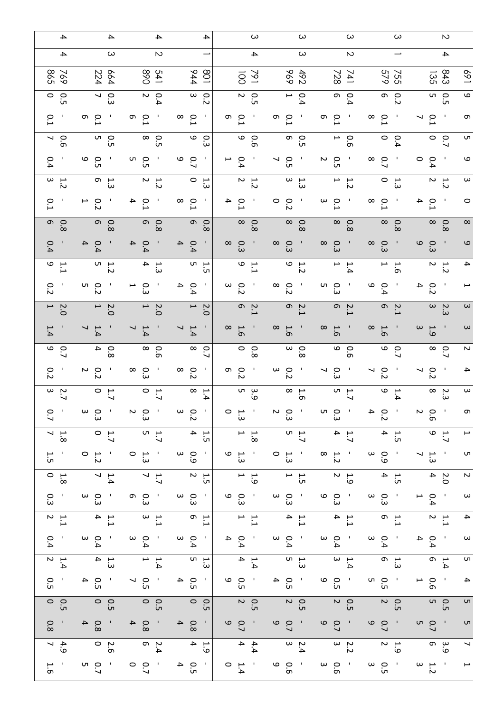| 4                                          | 4                                             | 4                                             | 4                                                           | $\omega$                                           | ω                                             | $\omega$                                      | ω                                              | $\sim$                                                            |
|--------------------------------------------|-----------------------------------------------|-----------------------------------------------|-------------------------------------------------------------|----------------------------------------------------|-----------------------------------------------|-----------------------------------------------|------------------------------------------------|-------------------------------------------------------------------|
| $\overline{\phantom{a}}$                   | $\omega$                                      | $\sim$                                        | —                                                           | $\overline{\phantom{a}}$                           | $\omega$                                      | $\sim$                                        |                                                | $\overline{\phantom{a}}$                                          |
| 598<br>769                                 | 224<br>664                                    | 068<br>541                                    | 108<br>944                                                  | 791<br>$\overline{5}$                              | 696<br>492                                    | 728<br>741                                    | 579<br>755                                     | 843<br>169<br>ري<br>35                                            |
| $\circ$<br>o<br>Uп                         | $\overline{\phantom{0}}$<br>ΩΩ                | $\sim$<br>0.4                                 | $\omega$<br>O<br>N                                          | N<br>$\circ$<br>üп                                 | $\overline{\phantom{0}}$<br>0.4               | თ $\overline{\phantom{a}}$<br>0.4             | თ<br>$\circ$<br>ى                              | 6<br>$\sigma$ o<br>C                                              |
| 0.1                                        | Ō<br>$\circ$<br>خ                             | o 1<br>1<br>$\mathbf{I}$                      | $\infty$<br>0.1<br>л.                                       | თ<br>$\circ$<br>$\mathbf{I}$                       | $\circ$<br>თ<br>- 1<br>⊶                      | $\circ$<br>თ<br>- 11                          | $\infty$<br>$\overline{L}$<br>- 1              | $\overline{L}$<br>$\mathbf{I}$<br>თ<br>↘                          |
| $\frac{0.6}{7}$                            | 0.<br>5<br>D                                  | o.<br>S                                       | 9<br>Ο.<br>3                                                | 9<br>0.6                                           | ი<br>ნ<br>მ                                   | $\overline{\phantom{0}}$<br>$\overline{9}$    | $\circ$<br>0.4                                 | UП<br>၀ ၀                                                         |
| 0.4                                        | ο<br>ω                                        | u o<br>- 1<br>üп                              | $\circ$<br>$\mathbf{I}$<br>$\overline{C}$                   | 0.4<br>⊢<br>$\mathbf{I}$                           | $\circ$<br>┙<br>üп                            | $\sim$<br>- 1<br>$\circ$<br>üп                | $\frac{0}{8}$<br>- 11                          | $\sim$ 1<br>6<br>0.4<br>$\circ$                                   |
| $\begin{array}{c} 1.7 \\ 2.7 \end{array}$  | თ<br>ίä                                       | $\frac{1.2}{2}$                               | $\circ$<br>$\ddot{3}$                                       | N<br>7.7                                           | $\omega$<br>ت<br>تا                           | ⊢<br>7.2                                      | 0<br>ب.<br>سَ                                  | $\boldsymbol{\omega}$<br>$\begin{array}{c} 1.2 \\ 2. \end{array}$ |
| $\overline{L}$                             | ⊢<br>$\overline{c}$                           | $\overline{4}$<br>$\overline{L}$              | $\infty$<br>л.<br>$\overline{L}$                            | $\overline{L}$<br>4<br>Π,                          | $\circ$<br>0.2                                | $\omega$<br>$\overline{L}$<br>- 1             | $\infty$<br>°.<br>- 11                         | $\circ$<br>4<br>$\overline{L}$                                    |
| $\circ$ 0<br>$\infty$                      | $\sigma$<br>$\overline{8}$                    | 0.8                                           | o o<br>$\infty$                                             | $\infty$<br>0.8                                    | $\infty$<br>$\circ$<br>$\infty$               | $\frac{0.8}{8}$                               | $\frac{0.8}{8}$                                | $\frac{0.8}{8}$<br>$\infty$                                       |
| 0.4                                        | $\overline{\mathbf{4}}$<br>0.4                | 0.4<br>$\overline{4}$                         | $\overline{4}$<br>0.4<br>$\mathbf{I}$                       | $\circ$ $\circ$<br>$\mathbf{I}$<br>$\omega$        | $\circ$<br>$\infty$<br>$\omega$               | $\circ$<br>$\infty$<br>- 1<br>س               | $\infty$<br>$\circ$<br>- 11<br>ω               | 9<br>o.3<br>6<br>$\mathbf{I}$                                     |
| ب م<br>$\overline{\phantom{0}}$            | $\frac{1}{5}$ 5                               | $\begin{array}{c} 1.3 \\ 4. \end{array}$      | $\overline{u}$ $\overline{r}$<br>C                          | $\begin{array}{c} 1.6 \\ 0.7 \end{array}$          | $\begin{array}{c} 1.2 \\ 9 \end{array}$       | $\blacktriangleright$<br>$\overline{1.4}$     | $\mapsto$ $\mapsto$<br>თ                       | 4<br>$\begin{array}{c} 1.2 \\ 2. \end{array}$                     |
| 0.2                                        | u o<br>نہ                                     | $\overline{P}$ $\overline{Q}$<br>سن           | 0.4<br>$\mathbf{I}$                                         | $\omega$<br>$\overline{c}$<br>$\mathbf{I}$         | $\infty$<br>0.2                               | UП<br>$\circ$<br>- 1<br>س                     | 6<br>$\mathbf{I}$<br>$\circ$<br>.<br>4         | $\mathbf{I}$<br>4<br>$\overline{c}$<br>⊶                          |
| $\overline{a}$<br>Ņ<br>Ó                   | $\overline{a}$<br>0.5                         | $\begin{array}{c} 2.0 \\ 1 \end{array}$       | $\overline{ }$<br>Ņ.<br>Ó                                   | $\begin{array}{c} 2.1 \\ 0 \\ 2.1 \end{array}$     | $2.1$<br>6                                    | თ —<br>2.1                                    | n o<br>⊢                                       | $\frac{1}{2}$<br>$\omega$<br>$\omega$                             |
| 1.4                                        | $\overline{\phantom{0}}$<br>1.4               | $\overline{\phantom{0}}$<br>1.4               | л.<br>$\overline{\phantom{0}}$<br>1.4                       | $\infty$<br>1.6<br>л,                              | $\infty$<br>1.6                               | $\infty$<br>1.6                               | $\infty$<br>л,<br>1.6                          | $\sim$ 1<br>$\omega$<br>$\omega$<br>$-9$                          |
| $\begin{array}{c} 0 \\ 0 \\ 0 \end{array}$ | 4<br>$\overline{8}$                           | $\infty$<br>$\overline{9}$                    | $\infty$<br>0.<br>↘                                         | $\circ$<br>$\frac{8}{8}$                           | $\frac{0.8}{3}$                               | $\circ$<br>$\overline{9}$                     | 6<br>$\circ$<br>↘                              | Z<br>$\frac{0.7}{8}$                                              |
| 0.2                                        | N<br>$\overline{c}$                           | $\circ$<br>$\infty$<br>س                      | $\infty$<br>0.2<br>$\mathbf{I}$                             | ၈ ၀<br>$\mathbf{I}$<br>Ń                           | $\omega$<br>$\circ$<br>$\sim$                 | $\circ$<br>↘<br>- 1<br>س                      | $\mathbf{I}$<br>↘<br>$\overline{c}$            | 0.2<br>- 1<br>4<br>↘                                              |
| $\frac{2}{3}$                              | $\frac{1}{2}$                                 | $\begin{array}{c} 1.7 \\ 0.7 \end{array}$     | $\infty$<br>ب<br>4                                          | ပ္ပ္ကား က<br>مة                                    | $\infty$<br>⊶ِ<br>ō٦                          | 1.7<br>D                                      | 6<br>ٻ<br>4                                    | $\omega$<br>$\infty$ $\sim$<br>$\omega$                           |
| 0.7                                        | ວິພ<br>ພ                                      | 0 : ე<br>კ                                    | 0 :<br>პ                                                    | ິນ<br>ລ                                            | 0 : ე<br>კ<br>and the state                   | ი ი<br>კ<br>and the sea                       | $\frac{0}{3}$ 4                                | 0.6<br>7<br>o,                                                    |
| $\begin{array}{c} 1.8 \\ 7.8 \end{array}$  | $\begin{array}{c} 1.7 \\ 0.7 \end{array}$     | $\begin{array}{c}\n1.7 \\ 5\n\end{array}$     | $\frac{1.5}{4}$                                             | $\begin{array}{c} 1.2 \\ 2.3 \end{array}$          | $\begin{array}{c}\n1.7 \\ 5\n\end{array}$     | $\begin{array}{c}\n1.7 \\ 4\n\end{array}$     | $\frac{1.5}{4}$                                | $\begin{array}{c} 0 \\ 2 \\ 7 \end{array}$<br>$\mapsto$           |
| 1.5                                        | $\frac{1}{3}$ 1                               | $\frac{1}{3}$ and $\frac{1}{3}$               | $\begin{array}{c} 0 \\ 0 \\ 0 \end{array}$                  | $\frac{1}{3}$ $\frac{1}{3}$                        | $\frac{1}{3}$<br>$\frac{1}{3}$ $\circ$        | $\frac{1}{2}$ a $\infty$                      | $\begin{array}{c} 0 \\ 0 \\ 0 \end{array}$     | <b>υ</b><br>$\frac{1}{2}$ .                                       |
| $\begin{array}{c} 1.8 \\ 0.8 \end{array}$  | $\begin{array}{c} 1.4 \\ 7. \end{array}$      | $\frac{1.7}{7}$                               | $\begin{array}{c} 1.5 \\ 2. \end{array}$                    | $\begin{array}{c} 1 \\ 2 \\ 0 \end{array}$         | $\frac{1}{1}$                                 | $\begin{array}{c} 1.9 \\ 2.9 \end{array}$     | $\begin{vmatrix} 1 & 4 \\ 1 & 5 \end{vmatrix}$ | $\sim$<br>$\begin{array}{c} 2.0 \\ 4.0 \end{array}$               |
| Ο.                                         | ο<br>ω<br>ω<br>$\sim 1$                       | ် အိ                                          | $\frac{1}{3}$ and $\frac{1}{3}$                             | $\frac{1}{3}$ 0 $\frac{1}{3}$                      | $\frac{1}{3}$ 0 $\frac{1}{3}$                 | $\frac{1}{3}$ 0 $\frac{1}{3}$                 | $\frac{1}{3}$ and $\frac{1}{3}$                | $\boldsymbol{\omega}$<br>$\frac{1}{4}$ 0.1                        |
| $\begin{array}{c} 1.1 \\ 2.1 \end{array}$  | $\begin{array}{c} 1.1 \\ 4.1 \end{array}$     | $\frac{1}{3}$                                 | $\begin{array}{c} 1.1 \\ 0.1 \end{array}$                   | $\frac{11}{7}$                                     | $\begin{array}{c} 1.1 \\ 4.1 \end{array}$     | $\begin{array}{c} 1.1 \\ 4.1 \end{array}$     | $\begin{vmatrix} 1 & 0 \\ 1 & 1 \end{vmatrix}$ | $\blacktriangle$<br>$\frac{1.1}{2}$                               |
| 0.4<br>$\sim 1$                            | $\begin{array}{c} 0 & 0 \\ 4 & 0 \end{array}$ | $\begin{array}{c} 0 & 0 \\ 4 & 0 \end{array}$ | $\begin{array}{c} 0 & 0 \\ 0 & 0 \end{array}$               | $\begin{array}{cc} & 0 & 4 \\ & 0 & 4 \end{array}$ | $\begin{array}{c} 0 & 0 \\ 0 & 4 \end{array}$ | $\begin{array}{c} 0 & 0 \\ 0 & 4 \end{array}$ | $\begin{array}{c} 0 & 0 \\ 0 & 4 \end{array}$  | $\omega$<br>$\begin{array}{c} 0 & 0 \\ 0 & 4 \end{array}$         |
| $\frac{1.4}{2}$                            | $\frac{1}{3}$ 4                               | $\begin{array}{c}\n1.4 \\ 1.4\n\end{array}$   | 1.3<br>Ω<br>D                                               | $\begin{array}{cc}\n1.4 \\ 4\n\end{array}$         | $\frac{1}{9}$                                 | $\begin{array}{c} 1.4 \\ 3.4 \end{array}$     | $\begin{bmatrix} 1 & 3 \\ 1 & 3 \end{bmatrix}$ | U<br>$\begin{array}{cc}\n1.4 \\ 0\n\end{array}$                   |
| O.5<br>л,                                  | $\frac{0}{10}$ 4                              |                                               | $\begin{array}{cc} & 0 & 4 \\ & \hline & 0 & 4 \end{array}$ | $\begin{array}{c} 0 \\ 0 \\ 0 \end{array}$         | $\frac{0}{10}$ 4                              | $\begin{array}{c} 0 \\ 0 \\ 0 \end{array}$    | $\begin{array}{c} 0 \\ 0 \\ 0 \end{array}$     | $-9.0$<br>$\overline{\mathbf{4}}$                                 |
| $\begin{matrix} 0.5 \\ 0.5 \end{matrix}$   | $rac{0}{n}$                                   | $rac{0}{10}$                                  | $\begin{matrix} 0.5 \\ -0.5 \end{matrix}$                   | $\begin{array}{c} 0.5 \\ 2 \end{array}$            | $\begin{array}{c} 0.5 \\ 2 \end{array}$       | $\begin{array}{c}0.5\\2\end{array}$           | $\begin{array}{c} 0.5 \\ 2 \end{array}$        | 0.<br>5<br>UП                                                     |
| 0.8                                        | $\begin{array}{c} 0.3 \\ 0.3 \end{array}$     | $\begin{array}{c} 0.7 \ 0.2 \end{array}$      | $\begin{array}{c} 0.8 \\ 4 \end{array}$<br>$\sim 10$        | $rac{1}{2}$                                        | $\begin{array}{c} 6 \\ 0 \\ 2 \end{array}$    | $\begin{array}{c} 6 \\ 0 \\ 2 \end{array}$    | $rac{1}{2}$                                    | $\begin{array}{c} 0.7 \\ 0.7 \end{array}$<br><b>u</b>             |
| $\frac{4.9}{7}$                            | 3.6                                           | $\begin{array}{c} 2.4 \\ 6 \end{array}$       | $\begin{array}{c} 1 \\ 4 \end{array}$                       | $\begin{array}{cc}\n4.4 \\ 4.4\n\end{array}$       | $\begin{array}{c} 2.4 \\ 3. \end{array}$      | $\frac{2.2}{3}$                               | $\begin{array}{c} 1.9 \\ 2.9 \end{array}$      | $\blacktriangleleft$<br>ာ<br>၁<br>၁<br>၁                          |
| 1.6                                        | $\frac{1}{2}$                                 | $\begin{array}{c} 0 & 0 \\ 0 & 1 \end{array}$ | $\begin{array}{c} 0.4 \\ 0.5 \end{array}$<br>$\sim 10^{-1}$ | $\frac{1}{4}$ $\frac{1}{4}$                        | 0.6<br>$\sim 10$                              | $\begin{array}{c} 0.6 \ 0.6 \end{array}$      | ់ កូ <sub>ທ</sub>                              | $\frac{1}{3}$ 3<br>$\mapsto$                                      |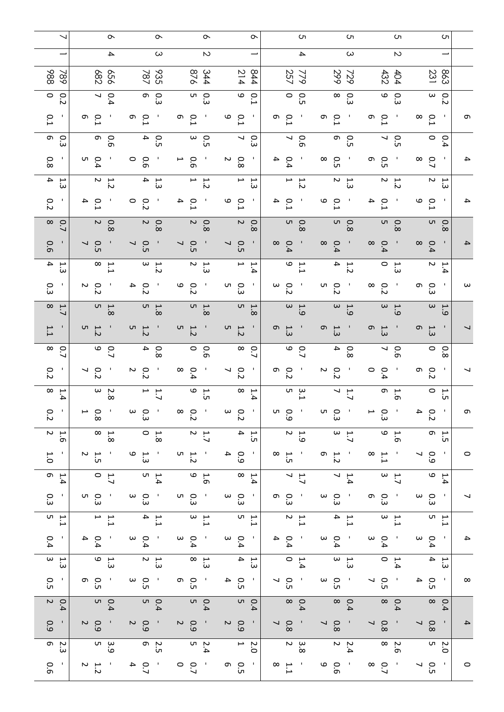|                                            | $\sim$                                     | ᡐ                                                     | ᡐ                                                   | ᡐ                                                        | C                                                                                              | С'n                                                                                                    | С'n<br>ပော                                                                             |                   |
|--------------------------------------------|--------------------------------------------|-------------------------------------------------------|-----------------------------------------------------|----------------------------------------------------------|------------------------------------------------------------------------------------------------|--------------------------------------------------------------------------------------------------------|----------------------------------------------------------------------------------------|-------------------|
|                                            | 4                                          | $\omega$                                              | $\sim$                                              |                                                          | $\overline{\phantom{a}}$                                                                       | $\infty$                                                                                               | $\sim$                                                                                 |                   |
| 886<br>$\overline{8}$                      | 882<br>959                                 | 787<br>935                                            | 876<br>344                                          | 214<br>844                                               | 257<br>779                                                                                     | 299<br>432<br>729                                                                                      | 863<br>231<br>404                                                                      |                   |
| $\circ$<br>0.2                             | $\overline{\phantom{0}}$<br>0.4            | $\sigma$<br>Ο.<br>3                                   | 0.3<br>5                                            | $\mathbf \omega$<br>$\circ$<br>⊢                         | 0.5                                                                                            | $\frac{0}{8}$                                                                                          | ი<br>ვ<br>მ<br>$\omega$<br>$\overline{c}$                                              |                   |
| 0.1                                        | Ō<br>$\circ$                               | თ<br>0.<br>خ                                          | $\overline{L}$<br>თ<br>л,                           | 6<br>$\overline{L}$<br>л,                                | $\circ$<br>თ<br>л.<br>თ                                                                        | $\overline{L}$<br>$\overline{L}$<br>თ                                                                  | 0.1<br>$\sim$ 1.<br>$\infty$                                                           | თ                 |
| $\sigma$<br>o<br>$\omega$                  | თ<br>$\circ$<br>$\sigma$                   | 4<br>O.5                                              | $\omega$<br>$\circ$<br><b>UT</b>                    | $\sim$ 0<br>$\omega$                                     | $\frac{0.6}{7}$                                                                                | თ<br>О.<br>Г<br>$\overline{\phantom{0}}$                                                               | $\circ$<br>О.<br>С<br>0.4                                                              |                   |
| 0.8                                        | u o<br>Ĺ.                                  | $\circ$<br>9.0                                        | $\overline{0}$<br>⊢                                 | $\sim$<br>$\overline{8}$<br>$\mathbf{L}$                 | 4<br>$^\infty$<br>$\circ$<br>- 1<br>Ä,                                                         | $\circ$<br>$\circ$<br>üп<br>üп                                                                         | $\sim$ 1.<br>0.7<br>8<br>$\mathbf{I}$                                                  | 4                 |
| $\frac{1}{3}$ 4                            | $\sim$<br>7.2                              | $\overline{\mathbf{4}}$<br>ٻ<br>سن                    | ⊢<br>7.2                                            | $\mapsto$<br>ب<br>سن                                     | ⊢<br>1.2                                                                                       | N<br>1.3                                                                                               | $\frac{1.2}{2}$<br>$\sim$<br>ٻ<br>سن                                                   |                   |
| 0.2                                        | 4<br>$\overline{L}$                        | $\circ$<br>0.2                                        | $^{0.1}$<br>4                                       | 6<br>0.1<br>$\mathbf{I}$                                 | $\overline{L}$<br>م<br>4<br>$\mathbf{I}$                                                       | $\overline{L}$<br>4<br>$\overline{L}$                                                                  | 6<br>0.1<br>п,                                                                         | 4                 |
| $\infty$<br>$\overline{C}$                 | $\sim$<br>$\overline{8}$                   | $\boldsymbol{\mathsf{c}}$<br>0.8                      | $\boldsymbol{\mathsf{c}}$<br>8.0                    | $\sim$<br>0.8                                            | 0.8                                                                                            | 0.<br>9                                                                                                | 0.8<br>0.8 <sub>b</sub>                                                                |                   |
| 0.6                                        | o.<br>G<br>$\overline{\phantom{0}}$        | $\overline{\phantom{0}}$<br>$\circ$<br>UП             | $\overline{\phantom{0}}$<br>O.5<br>л.               | $\mathbf{I}$<br>$\overline{\phantom{0}}$<br>0.5          | $\infty$<br>0.4<br>$\infty$<br>- 1                                                             | 0.4<br>$\infty$<br>0.4<br>- 1                                                                          | $\blacksquare$<br>$\frac{0}{8}$                                                        | 4                 |
| $\overline{4}$<br>۳.<br>س                  | $\sim$ $\sim$<br>⊢                         | $\begin{array}{c} 1.2 \\ 2.3 \end{array}$             | $\begin{array}{c} 1.3 \\ 2. \end{array}$            | $\mapsto$<br>∺.<br>$\overline{\phantom{a}}$              | $\begin{array}{c} 1.7 \\ 0.7 \end{array}$                                                      | 4<br>1.2                                                                                               | $\begin{array}{c} 1.3 \\ 0.3 \end{array}$<br>$\sim$<br>1.4                             |                   |
| Ωω                                         | $\sim$ 0<br>Ñ                              | 0.2<br>4                                              | о<br>Сі<br>О<br>$\blacksquare$                      | ი<br>კ<br>$\mathbf{I}$                                   | $\omega$<br>$\circ$<br>u o<br>$\sim$                                                           | $\infty$<br>0.2<br>نخ                                                                                  | ၈ ၀<br>$\sim$ 1.<br>س                                                                  | $\mathbf{\omega}$ |
| $\infty$<br>۳.<br>↘                        | $\overline{u}$<br>$\infty$                 | u h<br>$\infty$                                       | $\overline{u}$ $\overline{v}$<br>$\infty$           | ι<br>$\overline{ }$<br>$\infty$                          | $\begin{array}{c} 1.9 \\ 3. \end{array}$                                                       | $\omega$<br>$-9$                                                                                       | $\begin{array}{c} 1.9 \\ 2.9 \end{array}$<br>$\omega$<br>H.<br>م:                      |                   |
| 1.1                                        | $\frac{1.2}{5}$                            | u J<br>1.2                                            | UT .<br>1.2                                         | $\frac{1.2}{5}$                                          | G<br>c)<br>1.3                                                                                 | G<br>1.3<br>1.3                                                                                        | $\sigma$<br>1.3                                                                        |                   |
| $\infty$<br>0.<br>┙                        | $\circ$<br>$\overline{C}$                  | 4<br>80                                               | $\circ$<br>$\overline{9}$                           | $\infty$<br>$\overline{C}$                               | $\frac{0}{9}$                                                                                  | 4<br>$\overline{\phantom{0}}$<br>$\overline{8}$                                                        | $\circ$<br>$\overline{8}$<br>0.6                                                       |                   |
| $\overline{c}$                             | ↘<br>$\overline{c}$                        | $\sim$<br>$\overline{c}$                              | $\infty$<br>0.4<br>л,                               | ┙<br>$\overline{c}$                                      | თ<br>0.2<br>- 1<br>N                                                                           | $\circ$<br>$\overline{c}$<br>- 11<br>0.4                                                               | $\blacksquare$<br>$\mathbf{I}$<br>თ.<br>$\overline{c}$                                 |                   |
| $\infty$<br>۳.<br>$\overline{\phantom{0}}$ | $\mathbf \omega$<br>$\sim$<br>$\infty$     | $\overline{a}$<br>$\mathsf{L}$ .7                     | 6<br>1.5                                            | $\infty$<br>1.4                                          | ப<br>3.1                                                                                       | ↘<br>$\overline{L}$                                                                                    | $\begin{array}{c} 1.5 \\ 1.5 \end{array}$<br>$1.6$<br>0                                |                   |
| $\tilde{z}$                                | $\rm \dot{\infty}$                         | 0.3                                                   | $\infty$<br>$\overline{c}$                          | $\overline{c}$                                           | UТ<br>60                                                                                       | Ο.<br>Ο.<br>Ω                                                                                          | $\overline{c}$                                                                         | ر ب               |
| $\begin{array}{c} 1.6 \\ 2. \end{array}$   | $\begin{array}{c} 1.8 \\ 8 \end{array}$    | $\begin{array}{c} 1.8 \\ 0.8 \end{array}$             | $\begin{array}{c} 1.7 \\ 2. \end{array}$            | $\frac{1.5}{4}$                                          | $\begin{array}{c} 1.9 \\ 2.9 \end{array}$                                                      | $\frac{1}{3}$                                                                                          | $\begin{array}{c} 1.6 \\ 9.1 \end{array}$<br>$\begin{array}{c} 1.5 \\ 0.5 \end{array}$ |                   |
| $\overline{C}$                             | $\frac{1.5}{2}$                            | $\begin{array}{c} 1.9 \\ 0.3 \end{array}$<br>$\sim 1$ | $\begin{array}{c}\n1.2 \\ 0.7\n\end{array}$<br>- 1  | $\begin{array}{c} 0.9 \\ 4 \end{array}$<br>$\mathcal{A}$ | $\frac{1.5}{8}$<br>$1.2$<br>0<br>$\sim$ 1.                                                     | $\infty$<br>- 1<br>$\frac{11}{11}$                                                                     | $\begin{array}{c} 0.9 \\ 7 \end{array}$<br>$\sim 1$<br>$\mathcal{A}$                   | $\circ$           |
| $\sigma$<br>1.4                            | $\begin{array}{c}\n1.7 \\ 0\n\end{array}$  | $\begin{array}{c}\n1.4 \\ 5\n\end{array}$             | $\begin{array}{c} 1.6 \\ 9.5 \end{array}$           | $\begin{array}{c}\n1.4 \\ 2.4\n\end{array}$              | $\begin{array}{c} 1.7 \\ 7. \end{array}$                                                       | $\begin{array}{c} 1.4 \\ 7.4 \end{array}$                                                              | $\begin{array}{c} 1.7 \\ 3.7 \end{array}$<br>$1.4$<br>0                                |                   |
| Ο.<br>ω<br>$\mathbf{I}$                    | ວ<br>ຜົ<br>- 1                             | $\frac{0}{3}$<br>$\mathbf{I}$                         | ი<br>ო<br>თ<br>$\sim 1$                             | $\frac{0}{3}$<br><b>COL</b>                              | ο<br>ω<br>ω<br>ဝ ၁<br>မ<br>$\sim 1$ .                                                          | 0 :<br>მ<br>ნ<br>$\sim 1$                                                                              | $\frac{0}{3}$<br>$\sim 1$<br>- 1                                                       |                   |
| $\begin{array}{c}\n1 \\ 1\n\end{array}$    | $\overline{a}$<br>1.1                      | $\begin{array}{c} 1.1 \\ 4.1 \end{array}$             | $\frac{1}{3}$                                       | $\begin{array}{c}\n1.1 \\ 0.1\n\end{array}$              | $\begin{array}{c} 1.1 \\ 2.1 \end{array}$                                                      | $\begin{array}{c} 1.1 \\ 4.1 \end{array}$                                                              | $\begin{array}{c} 1.7 \\ 3.7 \end{array}$<br>$\begin{array}{c} 1.1 \\ 5.1 \end{array}$ |                   |
| 0.4<br>$\mathbf{L}$                        | 0.4<br>- 1                                 | $\begin{array}{c} 0 & 0 \\ 4 & 0 \end{array}$         | $\begin{array}{c} 0 & 0 \\ 4 & 0 \end{array}$       | 0.4<br>$\sim 1$                                          | $\frac{0}{4}$ d                                                                                | $\begin{array}{c} 1 & 0 & 0 \\ 4 & 1 & 1 \end{array}$<br>$\begin{array}{c} 0 & 0 \\ 4 & 0 \end{array}$ | 0.4<br>$\sim 1$                                                                        | 4                 |
| $\frac{1}{3}$                              | $\begin{array}{c} 1.9 \\ 9. \end{array}$   | $\frac{1.3}{2}$                                       | $\frac{1}{3}$ $\infty$                              | $\frac{1}{3}$ 4                                          | $1.4$<br>0                                                                                     | မှု က<br>အ                                                                                             | $\begin{array}{c} 1 & 0 \\ 4 & 0 \end{array}$<br>$\frac{1}{3}$ 4                       |                   |
| $\sim 1$<br>О.                             | o o<br>co<br>- 1                           | $\frac{1}{10}$ and                                    | ng o                                                | $\frac{0}{10}$ 4                                         | ο<br>ω<br>ω                                                                                    | $\sim$ 1.<br>$\begin{array}{c} 0.5 \\ 7 \end{array}$                                                   | $10^{1}$ 0.<br>- 1                                                                     | $\infty$          |
| $\begin{array}{c}0.4\\2\end{array}$        | 0.4<br>5                                   | 0.4<br>4                                              | 0.4                                                 | $0.9$                                                    | $0.4$<br>8                                                                                     | $0.4$<br>8                                                                                             | $\begin{array}{c} 0.4 \\ 8 \end{array}$<br>0.4                                         |                   |
| $\blacksquare$<br>0.9                      | $\begin{array}{c} 0 \\ 0 \\ 2 \end{array}$ | $\begin{array}{c} 0 \\ 0 \\ 0 \end{array}$            | $\begin{array}{c} 0.9 \\ 2 \end{array}$<br>$\sim 1$ | $\begin{array}{c} 0.9 \\ 2 \end{array}$<br>- 1           | $\begin{array}{c} 0.8 \\ 7 \end{array}$<br>$\begin{array}{c} 0.8 \\ 7 \end{array}$<br>$\sim 1$ | $\begin{array}{c} 0.8 \\ 7 \end{array}$<br>$\sim$ 1                                                    | $\begin{array}{c} 0.8 \\ 7 \end{array}$<br>$\sim 1$                                    | 4                 |
| o in<br>$\omega$                           | ვ<br>ა<br>თ                                | 2.5<br>0                                              | $\begin{array}{cc} 2.4 \\ 5 \end{array}$            | $\begin{array}{c} 2.0 \\ 2.0 \end{array}$                | $\begin{array}{c} 3.8 \\ 2 \end{array}$                                                        | $\begin{array}{c} 2.4 \\ 2. \end{array}$                                                               | $\begin{array}{c} 2.6 \\ 8 \end{array}$<br>2.0<br>D                                    |                   |
| 0.6<br>$\mathbf{I}_{\mathbf{r}}$           | $\frac{1.2}{2}$<br>J.                      | 0.74                                                  | $\frac{0}{2}$<br>$\sim$ 1.                          | o<br>G<br>O<br>$\sim 1$                                  | 6<br>$\begin{array}{c} 1.1 \\ 8 \end{array}$<br>$\sim$ 1.                                      | 0.6<br>$\sim 1$<br>$\infty$<br>$\overline{C}$                                                          | $\begin{array}{c} 0.5 \\ 7 \end{array}$<br>$\mathbf{I}$<br>- 1                         | $\circ$           |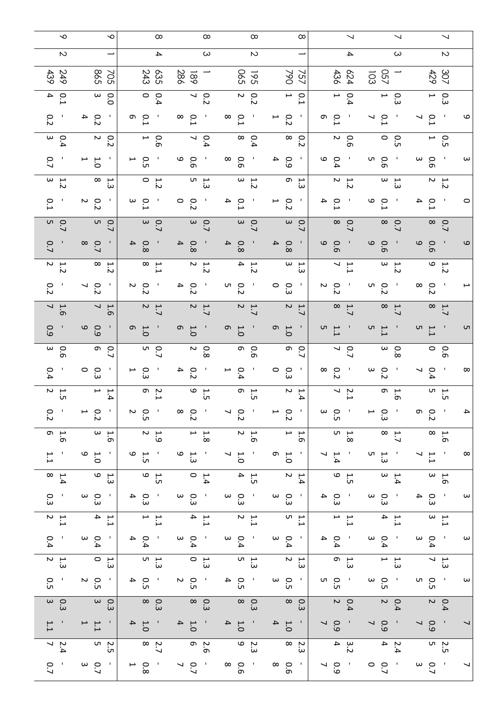| 0.7                                                                                                                       | $\sim$ $\sim$<br>خ.                        | 1.1                                        | 0.3                                      | О.<br>$\sim$ 1.                                          | $\begin{array}{c} 1.3 \\ 2. \end{array}$  | $\sim 1$<br>0.4                                       | $\begin{array}{c} 1.1 \\ 2.1 \end{array}$  | Ο.                                                                                                                                                                                                                                                                                                                             | $\infty$<br>1.4                                  | 1.1                                                            | $\begin{array}{c} 1.6 \\ 0.7 \end{array}$                               | $\frac{0}{2}$                  | $\overline{a}$<br>üп                | 0.4                                    | $\sim$ 0<br>თ                  | 0.9                                       | 1.6                                                | 0.2                                                                  | $\frac{1}{2}$<br>$\sim$                   | 0.7                                                   | 0<br>5<br>5     | $\overline{L}$                  | $\frac{1}{2}$<br>.<br>N                   | J.<br>$\overline{C}$                              | $\sim$ 0<br>خ                             | $\blacksquare$<br>0.2                       | 0.4                                 | 249<br>439                   | $\sim$                   | $\sim$   |
|---------------------------------------------------------------------------------------------------------------------------|--------------------------------------------|--------------------------------------------|------------------------------------------|----------------------------------------------------------|-------------------------------------------|-------------------------------------------------------|--------------------------------------------|--------------------------------------------------------------------------------------------------------------------------------------------------------------------------------------------------------------------------------------------------------------------------------------------------------------------------------|--------------------------------------------------|----------------------------------------------------------------|-------------------------------------------------------------------------|--------------------------------|-------------------------------------|----------------------------------------|--------------------------------|-------------------------------------------|----------------------------------------------------|----------------------------------------------------------------------|-------------------------------------------|-------------------------------------------------------|-----------------|---------------------------------|-------------------------------------------|---------------------------------------------------|-------------------------------------------|---------------------------------------------|-------------------------------------|------------------------------|--------------------------|----------|
| $\begin{array}{c} \begin{array}{c} \cdot \\ \cdot \end{array} \\ \begin{array}{c} \circ \\ \cdot \end{array} \end{array}$ | u n<br>UП                                  | $\frac{1.1}{1}$<br>$\sim 1$                | 0.3                                      | $\begin{array}{c}0.5\\2\end{array}$<br>$\sim 1$ .        | $\begin{array}{c} 1.3 \\ 0.3 \end{array}$ | $\begin{array}{c} 0 & 0 \\ 0 & 4 \end{array}$         | $\frac{1}{4}$                              | $\frac{0}{3}$ $\frac{0}{3}$<br>$\sim 10^{-1}$                                                                                                                                                                                                                                                                                  | $\frac{4}{3}$ $\frac{6}{3}$                      | $\begin{array}{c} 1.0 \\ 9.0 \end{array}$<br>$\sim 10^{\circ}$ | $\begin{array}{c} 1.6 \\ 0.7 \end{array}$                               | $\frac{0.7}{1}$                | $\mapsto$ $\mapsto$<br>4            | o o<br>w<br>л.                         | o o                            | $\mathbf{\omega}$<br>60                   | $\begin{array}{c} 1.6 \\ 7. \end{array}$           | $\begin{array}{c} 0.2 \\ 7 \end{array}$<br>$\mathbf{L}_{\mathbf{r}}$ | $\sim$ $\sim$<br>$\sim$                   | $\circ$ $\circ$<br>$\mathbf{I}$                       | a<br>a          | $\frac{0.2}{2}$<br>- 11         | $\sim$ $\overline{r}$<br>س                | $\begin{array}{c} 1.0 \\ 0.1 \end{array}$         | $\circ$<br>$\sim$                         | 0.3<br>$\mathbf{I}_\perp$                   | $\sim$ 0<br>$\circ$                 | 598<br>705                   |                          | ∼        |
| $\begin{array}{c} 0.8 \\ 1 \end{array}$<br>$\sim 1$                                                                       | 2.7<br>8                                   | $\frac{1.0}{4}$<br>$\sim 1$                | $\frac{0.9}{8}$                          | $\frac{0}{10}$ d                                         | 1.3<br>Ω                                  | $\frac{0}{4}$ d                                       | $\frac{1}{2}$                              | $\frac{1}{3}$ 0 4                                                                                                                                                                                                                                                                                                              | $\begin{array}{c} 1.5 \\ 0.7 \\ 0.7 \end{array}$ | $\begin{array}{c} 1.5 \\ 0.5 \end{array}$<br>$\sim 1$          | $\begin{array}{c} 1.9 \\ 2.9 \end{array}$                               | 0 : ე<br>7                     | $\frac{2.1}{6}$                     | 0.3<br>1<br>$\mathbf{I}$               | 0.7<br>5                       | $1.0$<br>0.1                              | $\sim$<br>$\overline{1.7}$                         | $\circ$<br>л,                                                        | $\begin{array}{c} 1.6 \\ 2.1 \end{array}$ | $Q$ 4<br>$\infty$                                     | 0.7             | $\frac{0}{3}$<br>$\mathbf{u}$   | $\begin{array}{c} 1.2 \\ 0.7 \end{array}$ | 0.5<br>u<br>$\mathbf{I}$                          | $\begin{array}{c} 0.6 \\ 4.6 \end{array}$ | ၈ ၀<br>$\mathbf{J}$                         | 0.9                                 | 243<br>635                   | $\overline{\phantom{a}}$ | $\infty$ |
| $\frac{1}{2}$                                                                                                             | 2.6<br>0                                   | $\frac{1.0}{4}$<br>$\sim 1$                | $\frac{0}{3}$                            | $\frac{0}{10}$                                           | $\frac{1}{3}$ o                           | $\begin{array}{c} 0 & 0 \\ 4 & 0 \end{array}$         | $\begin{array}{c} 1.1 \\ 4. \end{array}$   | $\frac{1}{3}$ and $\frac{1}{3}$                                                                                                                                                                                                                                                                                                | $\begin{array}{c} 1.6 \\ 0.7 \end{array}$        | $\frac{1}{3}$<br>$\frac{1}{3}$                                 | $\begin{array}{c} 1.8 \\ 2.9 \end{array}$                               | 0.2<br>∞                       | 6<br>ت<br>ت                         | 4<br>0.2<br>- 1                        | $\sim$<br>಼<br>$\infty$        | თ<br>0.1                                  | $\sim$<br>1.7                                      | $\overline{\mathbf{4}}$<br>$\mathbf{I}$<br>಼<br>iJ                   | $\begin{array}{c} 1.2 \\ 2. \end{array}$  | $Q$ 4<br>$\infty$                                     | 0.7             | $\frac{0}{2}$<br>- 1            | $\frac{1}{3}$                             | о о<br>6<br>$\mathcal{A}$                         | $\frac{0.4}{7}$                           | $\circ$ $\circ$<br>- 1                      | $\frac{0.2}{7}$                     | 286<br>$\overline{8}$        | $\omega$                 | $\infty$ |
| $\begin{array}{c} 0.6 \\ 0.6 \end{array}$                                                                                 | 2.3<br>0                                   | $\frac{1}{1}$ d                            | 0.3                                      | $\frac{0}{10}$ 4                                         | $\frac{1}{3}$ n                           | $\begin{array}{c} 0 & 0 \\ 0 & 4 \end{array}$         | $\begin{array}{c} 1.1 \\ 2.1 \end{array}$  | $\frac{1}{3}$ and $\frac{1}{3}$                                                                                                                                                                                                                                                                                                | $\frac{1.5}{4}$                                  | $\frac{1}{7}$ .                                                | $\begin{array}{c} 1.6 \\ 2.6 \end{array}$                               | $\frac{0.7}{7}$                | $\overline{a}$ in<br>iл             | $\overline{\phantom{0}}$<br>0.4<br>- 1 | თ ი<br>მ                       | თ<br>$\overline{0}$<br>- 1                | $\frac{1.7}{2}$                                    | u o<br>- 1<br>Ń                                                      | $\frac{1.2}{4}$                           | $\overline{\mathbf{4}}$<br>$\circ$<br>- 1<br>$\infty$ | 0.7             | 4<br>°.1<br>- 1                 | $\begin{array}{c} 1.2 \\ 3. \end{array}$  | $\infty$<br>o.6<br>$\sim$ 1.                      | $\frac{0}{8}$                             | $\infty$<br>$\circ$<br>$\mathbf{r}$         | $\frac{0.2}{2}$                     | 590<br>195                   | $\sim$                   | $\infty$ |
| $\begin{array}{c} \circ \\ \circ \\ \circ \end{array}$                                                                    | $\frac{2}{3}$                              | $\begin{array}{c} 1 \\ 4 \\ 0 \end{array}$ | 0.3<br>8                                 | $\frac{1}{10}$ and $\frac{1}{10}$                        | $\begin{array}{c} 1.3 \\ 2. \end{array}$  | $\begin{array}{c} 1 & 0 & 0 \\ 0 & 4 & 0 \end{array}$ | $\begin{array}{c} 1.1 \\ 1.1 \end{array}$  | $\begin{vmatrix} 1 & 0 & 0 \\ 0 & 0 & 0 \\ 0 & 0 & 0 \\ 0 & 0 & 0 \\ 0 & 0 & 0 \\ 0 & 0 & 0 \\ 0 & 0 & 0 & 0 \\ 0 & 0 & 0 & 0 \\ 0 & 0 & 0 & 0 \\ 0 & 0 & 0 & 0 & 0 \\ 0 & 0 & 0 & 0 & 0 \\ 0 & 0 & 0 & 0 & 0 \\ 0 & 0 & 0 & 0 & 0 & 0 \\ 0 & 0 & 0 & 0 & 0 & 0 \\ 0 & 0 & 0 & 0 & 0 & 0 & 0 \\ 0 & 0 & 0 & 0 & 0 & 0 & 0 \\ $ | $\begin{array}{c} 1.4 \\ 2. \end{array}$         | 0.5                                                            | $\begin{array}{c} 1.6 \\ 1.6 \end{array}$                               | $\frac{0.7}{1}$                | Η Ω<br>$\overline{\phantom{0}}$     | $\circ$<br>ິລ<br>$\sim 1$              | o o<br>↘                       | თ<br>- 11<br>$\overline{0}$               | $\frac{1.7}{2}$                                    | $\circ$ $\circ$<br>$\sim 1$<br>سة                                    | $\omega$ $\mapsto$<br>$\omega$            | $\overline{4}$<br>$\circ$<br>- 11<br>$\infty$         | 0.7             | 0.2<br>- 11                     | $\frac{1}{3}$                             | 0.9<br>4<br>- 11                                  | 0.2                                       | $\overline{\phantom{0}}$<br>಼<br>- 11<br>نہ | 0.1                                 | ↘<br>790<br>$\overline{5}$   |                          | $\infty$ |
| $\begin{smallmatrix} 1 & 0 & 0 \\ 0 & 0 & 0 \\ 0 & 0 & 0 \end{smallmatrix}$                                               | $\frac{3}{4}$                              | $\begin{array}{c} 0 \\ 0 \\ 0 \end{array}$ | 0.4                                      | $\begin{array}{c} 0 & 0 \\ 0 & 0 \end{array}$            | $\frac{1}{9}$ o                           | $\begin{array}{c} 0 & 4 \\ 0 & 4 \end{array}$         | $\frac{1}{1}$                              | $\frac{1}{3}$ 0 4                                                                                                                                                                                                                                                                                                              | $\begin{array}{c} 1.5 \\ 9 \end{array}$          | $\frac{1}{7}$ .                                                | $\begin{array}{c} 4.8 \\ 5. \end{array}$                                | ი<br>სე<br>and the second      | $\sim$ 5                            | $\frac{0.2}{2}$<br>$\mathbf{I}$        | $\frac{0.7}{7}$                | $\begin{array}{c} 1.1 \\ 5.1 \end{array}$ | $\begin{array}{c}\n1.7 \\ \circ \\ 2\n\end{array}$ | $\sim$ 0<br>- 1<br>Ń                                                 | $\frac{1}{7}$                             | 9<br>$\circ$<br>$\sim 1$<br>თ                         | $\frac{0.7}{8}$ | $\frac{0.4}{4}$<br>$\mathbf{I}$ | $\frac{1.2}{2}$                           | $\begin{array}{c} 0 \\ 9 \end{array}$<br>$\sim 1$ | 0.6<br>2                                  | o o                                         | 0.4                                 | 436<br>624                   | $\overline{\phantom{a}}$ | ↘        |
| $\begin{array}{c} 0 & 0 \\ 0 & 1 \end{array}$                                                                             | $\begin{array}{cc}\n2.4 \\ 4\n\end{array}$ | $\begin{array}{c} 0 \\ 0 \\ 2 \end{array}$ | 0.4                                      | $\frac{1}{10}$ and $\frac{1}{10}$                        | $\frac{1}{3}$                             | $\begin{array}{c} 0 & 0 \\ 4 & 0 \end{array}$         | $\frac{1}{4}$                              | $\frac{1}{3}$ and $\frac{1}{3}$                                                                                                                                                                                                                                                                                                | $\begin{array}{c}\n1.4 \\ 3.4\n\end{array}$      | $\frac{1}{3}$ and $\frac{1}{3}$                                | $\begin{array}{c}\n\mathbf{1} \\ \mathbf{2} \\ \mathbf{3}\n\end{array}$ | 0.3<br>⊍<br><b>Participate</b> | $\sigma$ $\mu$<br>$\sigma$          | $\frac{0.2}{3}$<br>$\mathbf{r}$        | $\sim$ 0<br>$\rm \dot{\infty}$ | <u>ர</u><br>1.1                           | $\frac{4}{8}$                                      | u o<br>$\mathcal{A}$<br>.<br>N                                       | $\frac{1}{2}$<br>$\overline{\mathsf{c}}$  | 0.6<br>0<br>- 1                                       | $\frac{0.7}{8}$ | $\frac{1}{9}$                   | $\omega$ $\rightarrow$<br>سة              | 0.6<br>D<br>- 1                                   | o o<br>n                                  | $\frac{0.1}{7}$                             | $\frac{0.3}{1}$                     | <b>257</b><br>$\overline{5}$ | $\omega$                 |          |
| $\begin{array}{c} 0.7 \\ 0.7 \end{array}$                                                                                 | 2.5<br>D                                   | $\begin{array}{c} 0.9 \\ 7 \end{array}$    | $\begin{array}{c} 0.4 \\ 2. \end{array}$ | $\begin{array}{c} 1 & 0 & 0 \\ 0 & 0 & 0 \\ \end{array}$ | $\begin{array}{c} 1.3 \\ 7.3 \end{array}$ | $\begin{array}{c} 0 & 0 \\ 0 & 4 \end{array}$         | $\begin{array}{c} 1 \\ 2 \\ 3 \end{array}$ | $\frac{1}{3}$ 0 4                                                                                                                                                                                                                                                                                                              | $\begin{array}{c} 1.6 \\ 3. \end{array}$         | $\frac{1}{2}$ .                                                | $\begin{array}{c} 1.6 \\ 8 \end{array}$                                 | ი დ<br>ს                       | $\overline{u}$ $\overline{v}$<br>iл | 0.4<br>- 1                             | 0.6                            | $\frac{1}{5}$                             | $\frac{4}{8}$                                      | $\circ$ $\circ$<br>iJ                                                | $\begin{array}{c} 1.2 \\ 9 \end{array}$   | о о<br>6                                              | $\frac{0}{8}$   | 0.4                             | $\overline{a}$ in                         | ο.<br>Θ<br>$\sim 10$                              | 0.<br>ה                                   | $\frac{0.1}{7}$<br>- 1                      | Ο.<br>Ω<br>$\overline{\phantom{0}}$ | 307<br>429                   | N                        |          |
|                                                                                                                           |                                            | $\overline{\phantom{0}}$                   |                                          | $\boldsymbol{\omega}$                                    |                                           | $\omega$                                              |                                            | $\boldsymbol{\omega}$                                                                                                                                                                                                                                                                                                          |                                                  | $\infty$                                                       |                                                                         | ₽                              |                                     | $\infty$                               |                                | UТ                                        |                                                    | ⊢                                                                    |                                           | $\mathbf \omega$                                      |                 | $\circ$                         |                                           | $\omega$                                          |                                           | 9                                           |                                     |                              |                          |          |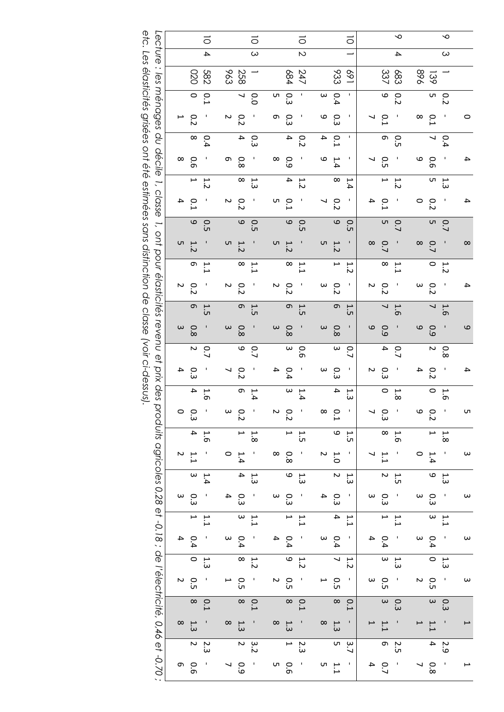| Lecture<br>$\cdot$ .<br>Ιes               |                   | 020                       | ਠ<br>$\overline{\mathcal{L}}$<br>282 |                   | 963 | 258                     | $\circ$<br>$\omega$ |          | 684               | ᅙ<br>$\overline{C}$<br>247 |          | 833                      | ਠ<br>169 |                   | 337                      | ∾<br>4<br><b>683</b> | 968                      | $\overline{39}$          | ∾<br>$\omega$ |                          |
|-------------------------------------------|-------------------|---------------------------|--------------------------------------|-------------------|-----|-------------------------|---------------------|----------|-------------------|----------------------------|----------|--------------------------|----------|-------------------|--------------------------|----------------------|--------------------------|--------------------------|---------------|--------------------------|
| menages                                   |                   | $\circ$                   | 0.1                                  |                   |     | ┙                       | $\overline{0}$      | UП       | С.                | J.                         | $\omega$ | 0.4                      | ı        |                   | 9                        | O.2                  |                          | UЛ                       | 0.2           |                          |
|                                           | $\mapsto$         | 0.2                       |                                      | N                 |     | 0.2                     | л                   | თ        | ن<br>م            | J                          | ဖ        | Ο.3                      | ı        |                   | 0.1                      |                      | $\infty$                 | 0.1                      | J.            | $\circ$                  |
| qo                                        |                   | $\infty$                  | 0.4                                  |                   |     | 4                       | С.                  |          | 4                 | 0.2                        | 4        | 0.1                      | т        |                   | თ                        | O.5                  |                          | ↘                        | 0.4           |                          |
| décile                                    | $\infty$          | 9.0                       |                                      | თ                 |     | $\frac{8}{8}$           |                     | $\infty$ | 0.9               |                            | ဖ        | 1.4                      |          | ↘                 | С.5                      |                      | 6                        | 0.6                      |               | 4                        |
| $\overline{\cdot}$                        |                   | ٣                         | 1.2                                  |                   |     | $\infty$                | 1 ت                 |          | 4                 | 1.2                        |          | $\infty$                 | 1.4      |                   | ⊶                        | 1.2                  |                          | UП                       | 1.3           |                          |
| classe                                    | 4                 | $\frac{1}{2}$             |                                      | N                 |     | 0.2                     |                     | UП       | 0.1               |                            | ↘        | 0.2                      |          | 4                 | 0.1                      |                      | 0                        | 0.2                      |               | 4                        |
| $\overline{\cdot}$                        |                   | $\mathbf{\sigma}$         | O.5                                  |                   |     | 9                       | O.5                 |          | $\circ$           | O.5                        |          | 6                        | O.5      |                   | UЛ                       | 0.7                  |                          | UП                       | 0.7           |                          |
| ont                                       | C                 | 1.2                       |                                      | G                 |     | 1.2                     |                     | C        | 1.2               |                            | C        | 1.2                      |          | $\infty$          | 0.7                      |                      | $\infty$                 | 0.7                      |               | $\infty$                 |
|                                           |                   | თ                         | 1.1                                  |                   |     | $\infty$                | 1.1                 |          | $\infty$          | 1.1                        |          | $\overline{\phantom{a}}$ | 1.2      |                   | $\infty$                 | 1.1                  |                          | 0                        | 1.2           |                          |
| pour élasticités revenu                   | Z                 | 0.2                       |                                      | $\sim$            |     | 0.2                     |                     | N        | 0.2               |                            | $\omega$ | 0.2                      |          | Z                 | 0.2                      |                      | $\omega$                 | 0.2                      |               | 4                        |
|                                           |                   | G                         | 1.5                                  |                   |     | G                       | 1.5                 |          | G                 | 1.5                        |          | G                        | 1.5      |                   | $\overline{\phantom{0}}$ | 1.6                  |                          | $\overline{\phantom{0}}$ | 1.6           |                          |
|                                           | $\mathbf{\omega}$ | 0.8                       |                                      | $\omega$          |     | 0.8                     |                     | $\omega$ | 0.8               |                            | $\omega$ | 0.8                      |          | 6                 | 0.9                      |                      | 6                        | 0.9                      |               | 9                        |
| $\overline{0}$                            |                   | N                         | O.7                                  |                   |     | 6                       | 0.7                 |          | ω                 | 0.6                        |          | $\boldsymbol{\omega}$    | 0.7      |                   | 4                        | $\overline{0.7}$     |                          | N                        | 0.8           |                          |
| prix                                      | 4                 | С.3                       |                                      | ↘                 |     | 0.2                     |                     | 4        | 0.4               | I                          | ω        | Ο.3                      | ı        | N                 | Ο.3                      |                      | 4                        | 0.2                      | ı             | 4                        |
| des                                       |                   | 4                         | 1.6                                  |                   |     | G                       | 1.4                 |          | $\mathbf{\omega}$ | 1.4                        |          | 4                        | 1.3      |                   | $\circ$                  | 1.8                  |                          | $\circ$                  | 1.6           |                          |
| Ō<br>roduits                              | O                 | ο<br>ω                    |                                      | $\mathbf{\omega}$ |     | $\frac{0}{2}$           |                     | $\sim$   | $\frac{0}{2}$     |                            | $\infty$ | $^{0.1}$                 |          |                   | o.3                      |                      | Φ                        | $\frac{0}{5}$            |               | UП                       |
|                                           |                   | 4                         | 1.6                                  |                   |     | $\mapsto$               | 1.8                 |          | $\mapsto$         | 1.5                        |          | $\mathbf \omega$         | 1.5      |                   | $\infty$                 | 1.6                  |                          | $\mapsto$                | $1.8\,$       |                          |
| agricoles 0,28                            | N                 | 1.1                       |                                      | $\circ$           |     | 1.4                     |                     | $\infty$ | 0.8               | I                          | Z        | 1.0                      | ٠        |                   | 1.1                      | ı                    | $\circ$                  | 1.4                      | ı             | ω                        |
|                                           |                   | $\omega$                  | 1.4                                  |                   |     | $\overline{\mathbf{4}}$ | 1.3                 |          | $\circ$           | 1.3                        |          | $\sim$                   | 1.3      |                   | $\sim$                   | 1.5                  |                          | $\circ$                  | 1.3           |                          |
|                                           | $\omega$          | 0.3                       |                                      | 4                 |     | Ο.3                     | I                   | $\omega$ | С.3               | I                          | 4        | 0.3                      | t        | $\omega$          | 0.3                      | t                    | ω                        | 0.3                      | I             | $\omega$                 |
|                                           |                   | $\mapsto$                 | 1.1                                  |                   |     | $\omega$                | 1.1                 |          | $\mapsto$         | 1.1                        |          | 4                        | 1.1      |                   | $\mapsto$                | 1.1                  |                          | ω                        | 1.1           |                          |
|                                           | 4                 | 0.4                       |                                      | ω                 |     | 0.4                     | t                   | 4        | 0.4               | t                          | ω        | 0.4                      | J.       | 4                 | 0.4                      | J.                   | ω                        | 0.4                      | t             | ω                        |
|                                           |                   | $\circ$                   | 1.3                                  |                   |     | $\infty$                | 1.2                 |          | $\circ$           | 1.2                        |          | $\overline{\phantom{0}}$ | 1.2      |                   | $\omega$                 | 1.3                  |                          | $\circ$                  | 1.3           |                          |
|                                           | Z                 | O.5                       |                                      | L                 |     | O.5                     |                     | Z        | O.5               |                            | L        | O.5                      | ٠        | $\mathbf{\omega}$ | С.                       | ı                    | N                        | O.5                      | ı             | $\omega$                 |
|                                           |                   | $\infty$                  | 0.1                                  |                   |     | $\infty$                | 0.1                 |          | $\infty$          | 0.1                        |          | $\infty$                 | 0.1      |                   | $\omega$                 | 0.3                  |                          | $\omega$                 | 0.3           |                          |
|                                           | $\infty$          | 1.3                       |                                      | $\infty$          |     | 1.3                     |                     | $\infty$ | 1.3               |                            | $\infty$ | 1.3                      |          | I                 | 1.1                      |                      | $\overline{\phantom{0}}$ | 1.1                      |               | $\overline{\phantom{0}}$ |
| et -0.18; de l'électricité, 0,46 et -0.70 |                   | $\boldsymbol{\mathsf{N}}$ | 2.3                                  |                   |     | $\sim$                  | 3.2                 |          | $\mapsto$         | 2.3                        |          | UП                       | 3.7      |                   | თ                        | 2.5                  |                          | 4                        | 2.9           |                          |
|                                           | G                 | 0.6                       |                                      |                   | ┙   | 0.9                     | I                   | UП       | 0.6               | I                          | UП       | 1.1                      | ı        | 4                 | 0.7                      | ı                    | ↘                        | 0.8                      | ı             | ⊢                        |

etc. Les élasticités grisées ont été estimées sans distinction de classe (voir ci-dessus). *etc. Les élasticités grisées ont été estimées sans distinction de classe (voir ci-dessus).*

*;*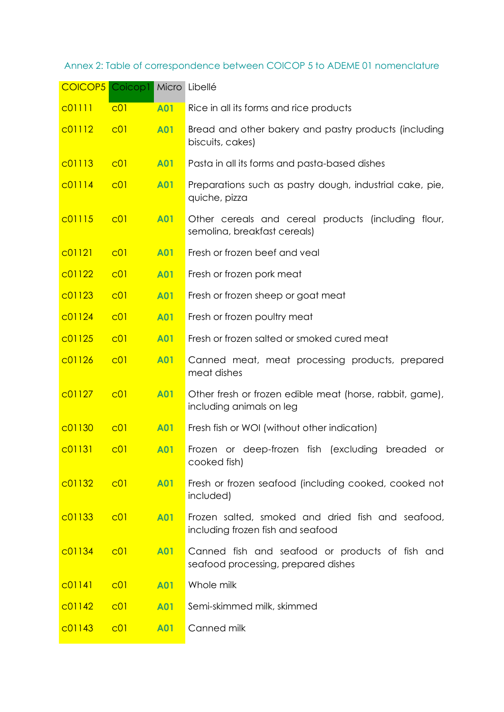# Annex 2: Table of correspondence between COICOP 5 to ADEME 01 nomenclature

| <b>COICOP5</b> Coicop1 Micro Libellé |                 |            |                                                                                        |
|--------------------------------------|-----------------|------------|----------------------------------------------------------------------------------------|
| C01111                               | C <sub>01</sub> | <b>A01</b> | Rice in all its forms and rice products                                                |
| c01112                               | C <sub>01</sub> | <b>A01</b> | Bread and other bakery and pastry products (including<br>biscuits, cakes)              |
| c01113                               | C <sub>01</sub> | <b>A01</b> | Pasta in all its forms and pasta-based dishes                                          |
| C01114                               | C <sub>01</sub> | <b>A01</b> | Preparations such as pastry dough, industrial cake, pie,<br>quiche, pizza              |
| c01115                               | C <sub>01</sub> | <b>A01</b> | Other cereals and cereal products (including flour,<br>semolina, breakfast cereals)    |
| C01121                               | C <sub>01</sub> | <b>A01</b> | Fresh or frozen beef and veal                                                          |
| c01122                               | C <sub>01</sub> | <b>A01</b> | Fresh or frozen pork meat                                                              |
| C01123                               | CO1             | <b>A01</b> | Fresh or frozen sheep or goat meat                                                     |
| C <sub>01124</sub>                   | C <sub>01</sub> | <b>A01</b> | Fresh or frozen poultry meat                                                           |
| C01125                               | C <sub>01</sub> | <b>A01</b> | Fresh or frozen salted or smoked cured meat                                            |
| C01126                               | C <sub>01</sub> | <b>A01</b> | Canned meat, meat processing products, prepared<br>meat dishes                         |
| C01127                               | C <sub>01</sub> | <b>A01</b> | Other fresh or frozen edible meat (horse, rabbit, game),<br>including animals on leg   |
| C01130                               | C <sub>01</sub> | <b>A01</b> | Fresh fish or WOI (without other indication)                                           |
| C <sub>01131</sub>                   | C <sub>01</sub> | <b>A01</b> | Frozen or deep-frozen fish (excluding<br>breaded<br>or<br>cooked fish)                 |
| c01132                               | C <sub>01</sub> | <b>A01</b> | Fresh or frozen seafood (including cooked, cooked not<br>included)                     |
| C <sub>01133</sub>                   | C <sub>01</sub> | <b>A01</b> | Frozen salted, smoked and dried fish and seafood,<br>including frozen fish and seafood |
| C01134                               | C <sub>01</sub> | <b>A01</b> | Canned fish and seafood or products of fish and<br>seafood processing, prepared dishes |
| CO1141                               | C <sub>01</sub> | <b>A01</b> | Whole milk                                                                             |
| C01142                               | CO1             | <b>A01</b> | Semi-skimmed milk, skimmed                                                             |
| C <sub>01143</sub>                   | C <sub>01</sub> | <b>A01</b> | Canned milk                                                                            |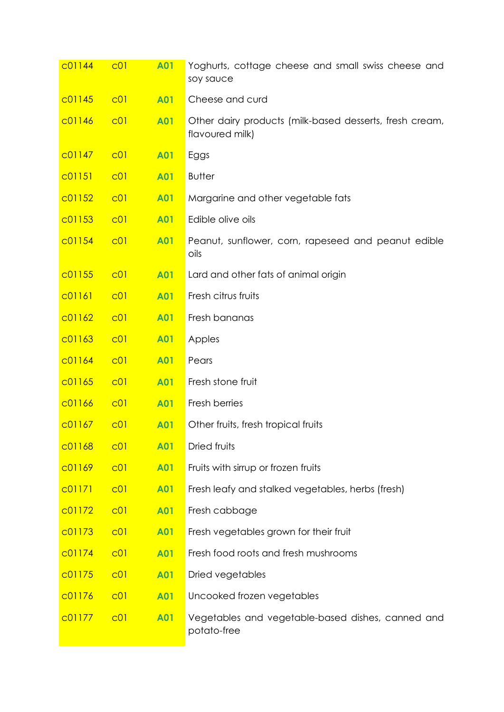| C01144 | C <sub>01</sub> | <b>A01</b> | Yoghurts, cottage cheese and small swiss cheese and<br>soy sauce           |
|--------|-----------------|------------|----------------------------------------------------------------------------|
| C01145 | C <sub>01</sub> | <b>A01</b> | Cheese and curd                                                            |
| c01146 | C <sub>01</sub> | <b>A01</b> | Other dairy products (milk-based desserts, fresh cream,<br>flavoured milk) |
| C01147 | C <sub>01</sub> | <b>A01</b> | Eggs                                                                       |
| C01151 | C <sub>01</sub> | <b>A01</b> | <b>Butter</b>                                                              |
| C01152 | C <sub>01</sub> | <b>A01</b> | Margarine and other vegetable fats                                         |
| C01153 | C <sub>01</sub> | <b>A01</b> | Edible olive oils                                                          |
| C01154 | C <sub>01</sub> | <b>A01</b> | Peanut, sunflower, corn, rapeseed and peanut edible<br>oils                |
| c01155 | C <sub>01</sub> | <b>A01</b> | Lard and other fats of animal origin                                       |
| C01161 | C <sub>01</sub> | <b>A01</b> | Fresh citrus fruits                                                        |
| C01162 | C <sub>01</sub> | <b>A01</b> | Fresh bananas                                                              |
| C01163 | C <sub>01</sub> | <b>A01</b> | Apples                                                                     |
| C01164 | C <sub>01</sub> | <b>A01</b> | Pears                                                                      |
| C01165 | C <sub>01</sub> | <b>A01</b> | Fresh stone fruit                                                          |
| C01166 | C <sub>01</sub> | <b>A01</b> | Fresh berries                                                              |
| C01167 | C <sub>01</sub> | <b>A01</b> | Other fruits, fresh tropical fruits                                        |
| C01168 | C <sub>01</sub> | <b>A01</b> | Dried fruits                                                               |
| C01169 | C <sub>01</sub> | <b>A01</b> | Fruits with sirrup or frozen fruits                                        |
| C01171 | C <sub>01</sub> | <b>A01</b> | Fresh leafy and stalked vegetables, herbs (fresh)                          |
| c01172 | C <sub>01</sub> | <b>A01</b> | Fresh cabbage                                                              |
| C01173 | C <sub>01</sub> | <b>A01</b> | Fresh vegetables grown for their fruit                                     |
| C01174 | C <sub>01</sub> | <b>A01</b> | Fresh food roots and fresh mushrooms                                       |
| c01175 | C <sub>01</sub> | <b>A01</b> | Dried vegetables                                                           |
| c01176 | C <sub>01</sub> | <b>A01</b> | Uncooked frozen vegetables                                                 |
| c01177 | C <sub>01</sub> | <b>A01</b> | Vegetables and vegetable-based dishes, canned and<br>potato-free           |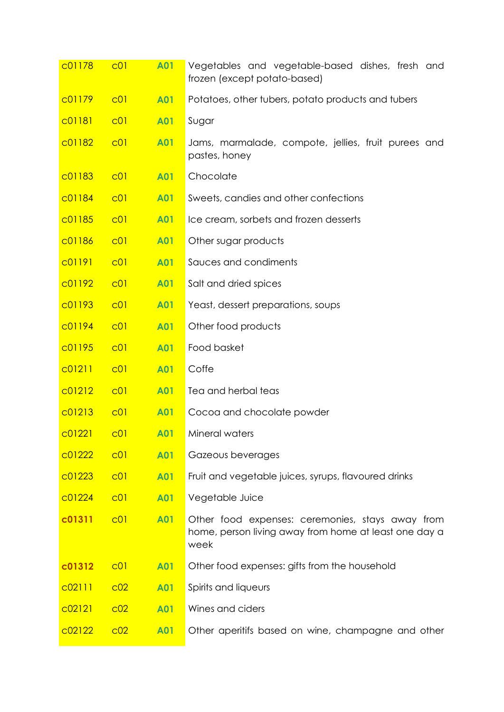| c01178             | C <sub>01</sub> | <b>A01</b> | Vegetables and vegetable-based dishes, fresh and<br>frozen (except potato-based)                                  |
|--------------------|-----------------|------------|-------------------------------------------------------------------------------------------------------------------|
| C01179             | C <sub>01</sub> | <b>A01</b> | Potatoes, other tubers, potato products and tubers                                                                |
| C01181             | C <sub>01</sub> | <b>A01</b> | Sugar                                                                                                             |
| C01182             | C <sub>01</sub> | <b>A01</b> | Jams, marmalade, compote, jellies, fruit purees and<br>pastes, honey                                              |
| C <sub>01183</sub> | C <sub>01</sub> | <b>A01</b> | Chocolate                                                                                                         |
| C01184             | C <sub>01</sub> | <b>A01</b> | Sweets, candies and other confections                                                                             |
| C01185             | C <sub>01</sub> | <b>A01</b> | Ice cream, sorbets and frozen desserts                                                                            |
| C01186             | C <sub>01</sub> | <b>A01</b> | Other sugar products                                                                                              |
| c01191             | C <sub>01</sub> | <b>A01</b> | Sauces and condiments                                                                                             |
| c01192             | C <sub>01</sub> | <b>A01</b> | Salt and dried spices                                                                                             |
| C01193             | C <sub>01</sub> | <b>A01</b> | Yeast, dessert preparations, soups                                                                                |
| c01194             | C <sub>01</sub> | <b>A01</b> | Other food products                                                                                               |
| c01195             | C <sub>01</sub> | <b>A01</b> | Food basket                                                                                                       |
| C01211             | C <sub>01</sub> | <b>A01</b> | Coffe                                                                                                             |
| c01212             | C <sub>01</sub> | <b>A01</b> | Tea and herbal teas                                                                                               |
| C <sub>01213</sub> | C <sub>01</sub> | <b>A01</b> | Cocoa and chocolate powder                                                                                        |
| C01221             | C <sub>01</sub> | <b>A01</b> | Mineral waters                                                                                                    |
| C01222             | C <sub>01</sub> | <b>A01</b> | Gazeous beverages                                                                                                 |
| c01223             | C <sub>01</sub> | <b>A01</b> | Fruit and vegetable juices, syrups, flavoured drinks                                                              |
| C <sub>01224</sub> | C <sub>01</sub> | <b>A01</b> | Vegetable Juice                                                                                                   |
| c01311             | C <sub>01</sub> | <b>A01</b> | Other food expenses: ceremonies, stays away from<br>home, person living away from home at least one day a<br>week |
| c01312             | C <sub>01</sub> | <b>A01</b> | Other food expenses: gifts from the household                                                                     |
| C02111             | CO <sub>2</sub> | <b>A01</b> | Spirits and liqueurs                                                                                              |
| C02121             | CO <sub>2</sub> | <b>A01</b> | Wines and ciders                                                                                                  |
| C02122             | c <sub>02</sub> | <b>A01</b> | Other aperitifs based on wine, champagne and other                                                                |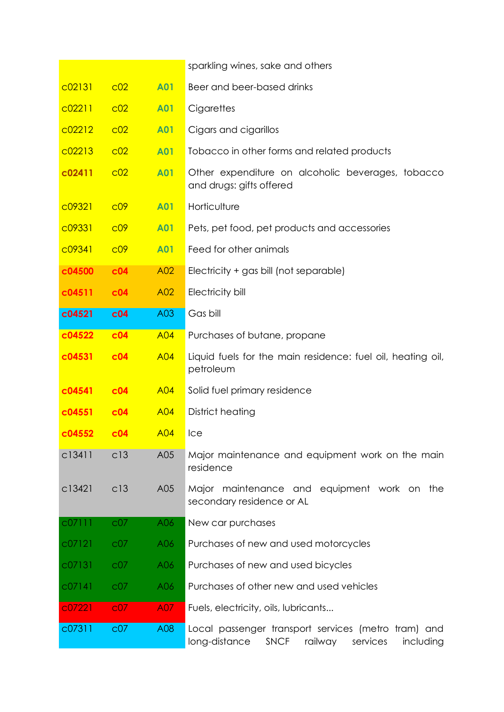|        |                 |            | sparkling wines, sake and others                                                                                        |
|--------|-----------------|------------|-------------------------------------------------------------------------------------------------------------------------|
| c02131 | CO <sub>2</sub> | <b>A01</b> | Beer and beer-based drinks                                                                                              |
| C02211 | CO <sub>2</sub> | <b>A01</b> | Cigarettes                                                                                                              |
| C02212 | CO <sub>2</sub> | <b>A01</b> | Cigars and cigarillos                                                                                                   |
| c02213 | c <sub>02</sub> | <b>A01</b> | Tobacco in other forms and related products                                                                             |
| c02411 | c <sub>02</sub> | <b>A01</b> | Other expenditure on alcoholic beverages, tobacco<br>and drugs: gifts offered                                           |
| C09321 | CO <sup>9</sup> | <b>A01</b> | Horticulture                                                                                                            |
| c09331 | CO <sup>9</sup> | <b>A01</b> | Pets, pet food, pet products and accessories                                                                            |
| C09341 | CO <sup>9</sup> | <b>A01</b> | Feed for other animals                                                                                                  |
| c04500 | c04             | A02        | Electricity + gas bill (not separable)                                                                                  |
| c04511 | c04             | A02        | Electricity bill                                                                                                        |
| c04521 | c04             | A03        | Gas bill                                                                                                                |
| c04522 | c04             | <b>A04</b> | Purchases of butane, propane                                                                                            |
| c04531 | c04             | <b>A04</b> | Liquid fuels for the main residence: fuel oil, heating oil,<br>petroleum                                                |
| c04541 | c04             | <b>A04</b> | Solid fuel primary residence                                                                                            |
| c04551 | c04             | <b>A04</b> | District heating                                                                                                        |
| c04552 | c04             | <b>A04</b> | Ice                                                                                                                     |
| c13411 | c13             | A05        | Major maintenance and equipment work on the main<br>residence                                                           |
| c13421 | c13             | A05        | Major maintenance and equipment work on the<br>secondary residence or AL                                                |
| c07111 | C <sub>07</sub> | A06        | New car purchases                                                                                                       |
| C07121 | C <sub>07</sub> | A06        | Purchases of new and used motorcycles                                                                                   |
| C07131 | C <sub>07</sub> | A06        | Purchases of new and used bicycles                                                                                      |
| C07141 | C <sub>07</sub> | A06        | Purchases of other new and used vehicles                                                                                |
| c07221 | CO <sub>7</sub> | A07        | Fuels, electricity, oils, lubricants                                                                                    |
| c07311 | C <sub>07</sub> | A08        | Local passenger transport services (metro tram) and<br><b>SNCF</b><br>long-distance<br>railway<br>including<br>services |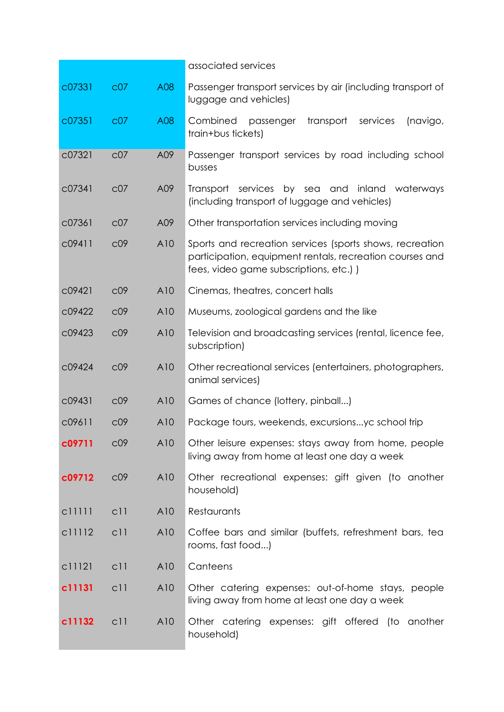|        |                 |     | associated services                                                                                                                                             |
|--------|-----------------|-----|-----------------------------------------------------------------------------------------------------------------------------------------------------------------|
| c07331 | C <sub>07</sub> | A08 | Passenger transport services by air (including transport of<br>luggage and vehicles)                                                                            |
| c07351 | C <sub>07</sub> | A08 | Combined<br>passenger<br>transport<br>services<br>(navigo,<br>train+bus tickets)                                                                                |
| c07321 | C <sub>07</sub> | A09 | Passenger transport services by road including school<br>busses                                                                                                 |
| c07341 | C <sub>07</sub> | A09 | inland<br>Transport<br>services<br>by sea and<br>waterways<br>(including transport of luggage and vehicles)                                                     |
| c07361 | C <sub>07</sub> | A09 | Other transportation services including moving                                                                                                                  |
| c09411 | C <sub>09</sub> | A10 | Sports and recreation services (sports shows, recreation<br>participation, equipment rentals, recreation courses and<br>fees, video game subscriptions, etc.) ) |
| c09421 | C <sub>09</sub> | A10 | Cinemas, theatres, concert halls                                                                                                                                |
| c09422 | C <sub>09</sub> | A10 | Museums, zoological gardens and the like                                                                                                                        |
| c09423 | C <sub>09</sub> | A10 | Television and broadcasting services (rental, licence fee,<br>subscription)                                                                                     |
| c09424 | C <sub>09</sub> | A10 | Other recreational services (entertainers, photographers,<br>animal services)                                                                                   |
| c09431 | C <sub>09</sub> | A10 | Games of chance (lottery, pinball)                                                                                                                              |
| c09611 | C <sub>09</sub> | A10 | Package tours, weekends, excursionsyc school trip                                                                                                               |
| c09711 | C <sub>09</sub> | A10 | Other leisure expenses: stays away from home, people<br>living away from home at least one day a week                                                           |
| c09712 | C <sub>09</sub> | A10 | Other recreational expenses: gift given (to another<br>household)                                                                                               |
| c11111 | c11             | A10 | Restaurants                                                                                                                                                     |
| c11112 | c11             | A10 | Coffee bars and similar (buffets, refreshment bars, tea<br>rooms, fast food)                                                                                    |
| c11121 | c11             | A10 | Canteens                                                                                                                                                        |
| c11131 | c11             | A10 | Other catering expenses: out-of-home stays, people<br>living away from home at least one day a week                                                             |
| c11132 | c11             | A10 | Other catering expenses: gift offered (to another<br>household)                                                                                                 |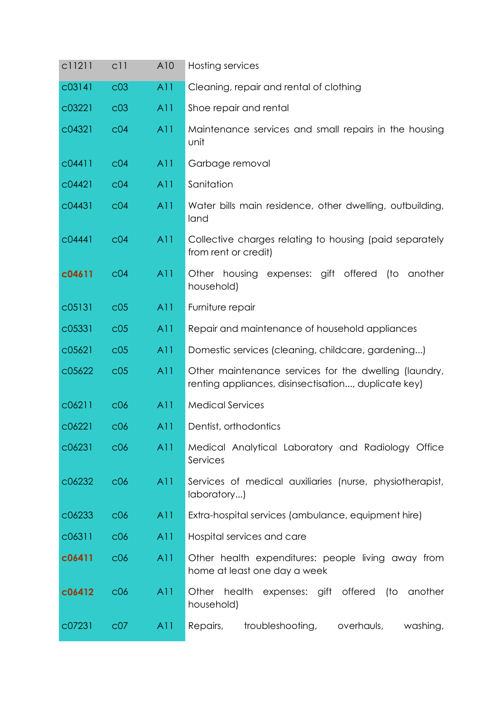| c11211 | c11             | A10 | Hosting services                                                                                              |
|--------|-----------------|-----|---------------------------------------------------------------------------------------------------------------|
| c03141 | C <sub>03</sub> | A11 | Cleaning, repair and rental of clothing                                                                       |
| c03221 | C <sub>03</sub> | A11 | Shoe repair and rental                                                                                        |
| c04321 | C <sub>04</sub> | A11 | Maintenance services and small repairs in the housing<br>unit                                                 |
| C04411 | C <sub>04</sub> | A11 | Garbage removal                                                                                               |
| c04421 | C <sub>04</sub> | A11 | Sanitation                                                                                                    |
| c04431 | C <sub>04</sub> | A11 | Water bills main residence, other dwelling, outbuilding,<br>land                                              |
| c04441 | C <sub>04</sub> | A11 | Collective charges relating to housing (paid separately<br>from rent or credit)                               |
| c04611 | C <sub>04</sub> | A11 | Other housing<br>expenses: gift offered<br>(to<br>another<br>household)                                       |
| c05131 | C <sub>05</sub> | A11 | Furniture repair                                                                                              |
| c05331 | C <sub>05</sub> | A11 | Repair and maintenance of household appliances                                                                |
| C05621 | C <sub>05</sub> | A11 | Domestic services (cleaning, childcare, gardening)                                                            |
| c05622 | C <sub>05</sub> | A11 | Other maintenance services for the dwelling (laundry,<br>renting appliances, disinsectisation, duplicate key) |
| C06211 | C <sub>06</sub> | A11 | <b>Medical Services</b>                                                                                       |
| C06221 | C <sub>06</sub> | A11 | Dentist, orthodontics                                                                                         |
| c06231 | C <sub>06</sub> | A11 | Medical Analytical Laboratory and Radiology Office<br>Services                                                |
| c06232 | C <sub>06</sub> | A11 | Services of medical auxiliaries (nurse, physiotherapist,<br>laboratory)                                       |
| c06233 | C <sub>06</sub> | A11 | Extra-hospital services (ambulance, equipment hire)                                                           |
| c06311 | C <sub>06</sub> | A11 | Hospital services and care                                                                                    |
| c06411 | C <sub>06</sub> | A11 | Other health expenditures: people living away from<br>home at least one day a week                            |
| c06412 | C <sub>06</sub> | A11 | health<br>offered<br>(to<br>Other<br>expenses: gift<br>another<br>household)                                  |
| c07231 | C <sub>07</sub> | A11 | troubleshooting,<br>overhauls,<br>washing,<br>Repairs,                                                        |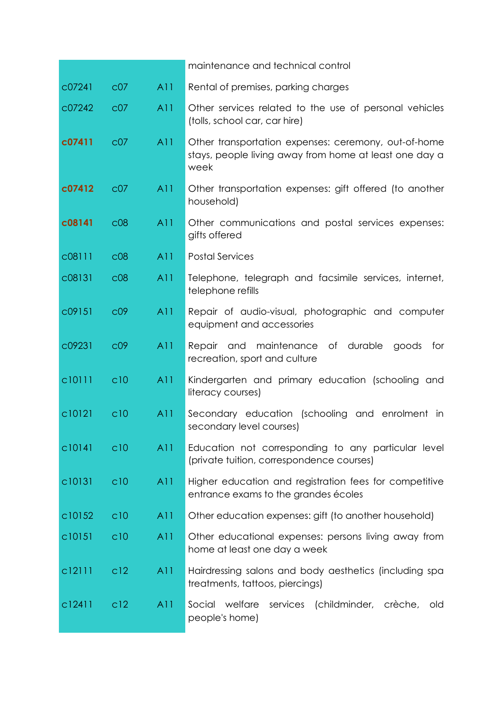|        |                 |     | maintenance and technical control                                                                                      |
|--------|-----------------|-----|------------------------------------------------------------------------------------------------------------------------|
| c07241 | C <sub>07</sub> | A11 | Rental of premises, parking charges                                                                                    |
| c07242 | C <sub>07</sub> | A11 | Other services related to the use of personal vehicles<br>(tolls, school car, car hire)                                |
| c07411 | C <sub>07</sub> | A11 | Other transportation expenses: ceremony, out-of-home<br>stays, people living away from home at least one day a<br>week |
| c07412 | C <sub>07</sub> | A11 | Other transportation expenses: gift offered (to another<br>household)                                                  |
| c08141 | C <sub>08</sub> | A11 | Other communications and postal services expenses:<br>gifts offered                                                    |
| c08111 | C <sub>08</sub> | A11 | <b>Postal Services</b>                                                                                                 |
| c08131 | C <sub>08</sub> | A11 | Telephone, telegraph and facsimile services, internet,<br>telephone refills                                            |
| c09151 | C <sub>0</sub>  | A11 | Repair of audio-visual, photographic and computer<br>equipment and accessories                                         |
| c09231 | C <sub>0</sub>  | A11 | Repair and maintenance of durable<br>goods<br>for<br>recreation, sport and culture                                     |
| c10111 | c10             | A11 | Kindergarten and primary education (schooling and<br>literacy courses)                                                 |
| c10121 | C10             | A11 | Secondary education (schooling and enrolment<br>in<br>secondary level courses)                                         |
| c10141 | C10             | A11 | Education not corresponding to any particular level<br>(private tuition, correspondence courses)                       |
| c10131 | c10             | A11 | Higher education and registration fees for competitive<br>entrance exams to the grandes écoles                         |
| c10152 | C10             | A11 | Other education expenses: gift (to another household)                                                                  |
| c10151 | c10             | A11 | Other educational expenses: persons living away from<br>home at least one day a week                                   |
| c12111 | c12             | A11 | Hairdressing salons and body aesthetics (including spa<br>treatments, tattoos, piercings)                              |
| c12411 | C <sub>12</sub> | A11 | Social welfare<br>services<br>(childminder,<br>crèche,<br>old<br>people's home)                                        |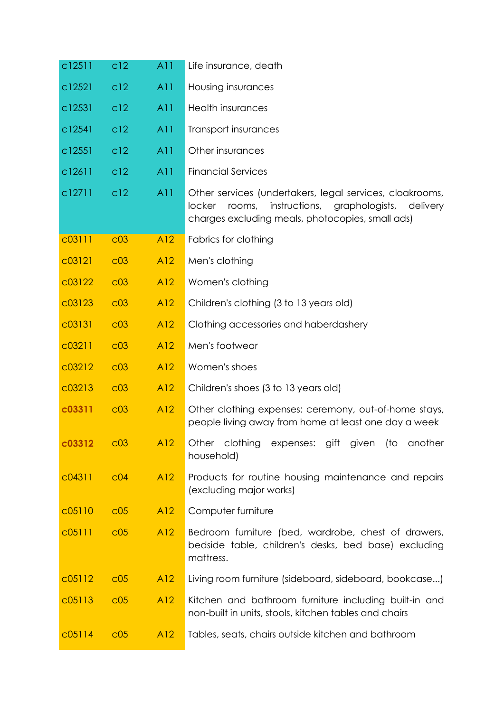| c12511 | c12             | A11 | Life insurance, death                                                                                                                                                            |
|--------|-----------------|-----|----------------------------------------------------------------------------------------------------------------------------------------------------------------------------------|
| c12521 | c12             | A11 | Housing insurances                                                                                                                                                               |
| c12531 | c12             | A11 | <b>Health insurances</b>                                                                                                                                                         |
| c12541 | c12             | A11 | Transport insurances                                                                                                                                                             |
| c12551 | c12             | A11 | Other insurances                                                                                                                                                                 |
| c12611 | c12             | A11 | <b>Financial Services</b>                                                                                                                                                        |
| c12711 | c12             | A11 | Other services (undertakers, legal services, cloakrooms,<br>instructions, graphologists, delivery<br>rooms,<br><b>locker</b><br>charges excluding meals, photocopies, small ads) |
| c03111 | C <sub>03</sub> | A12 | Fabrics for clothing                                                                                                                                                             |
| c03121 | C <sub>03</sub> | A12 | Men's clothing                                                                                                                                                                   |
| c03122 | C <sub>03</sub> | A12 | Women's clothing                                                                                                                                                                 |
| c03123 | C <sub>03</sub> | A12 | Children's clothing (3 to 13 years old)                                                                                                                                          |
| c03131 | C <sub>03</sub> | A12 | Clothing accessories and haberdashery                                                                                                                                            |
| c03211 | C <sub>03</sub> | A12 | Men's footwear                                                                                                                                                                   |
| c03212 | C <sub>03</sub> | A12 | Women's shoes                                                                                                                                                                    |
| c03213 | C <sub>03</sub> | A12 | Children's shoes (3 to 13 years old)                                                                                                                                             |
| c03311 | C <sub>03</sub> | A12 | Other clothing expenses: ceremony, out-of-home stays,<br>people living away from home at least one day a week                                                                    |
| c03312 | C <sub>03</sub> | A12 | Other clothing<br>(to another<br>expenses: gift given<br>household)                                                                                                              |
| C04311 | C <sub>04</sub> | A12 | Products for routine housing maintenance and repairs<br>(excluding major works)                                                                                                  |
| C05110 | C <sub>05</sub> | A12 | Computer furniture                                                                                                                                                               |
| C05111 | C <sub>05</sub> | A12 | Bedroom furniture (bed, wardrobe, chest of drawers,<br>bedside table, children's desks, bed base) excluding<br>mattress.                                                         |
| c05112 | C <sub>05</sub> | A12 | Living room furniture (sideboard, sideboard, bookcase)                                                                                                                           |
| c05113 | C <sub>05</sub> | A12 | Kitchen and bathroom furniture including built-in and<br>non-built in units, stools, kitchen tables and chairs                                                                   |
| c05114 | C <sub>05</sub> | A12 | Tables, seats, chairs outside kitchen and bathroom                                                                                                                               |
|        |                 |     |                                                                                                                                                                                  |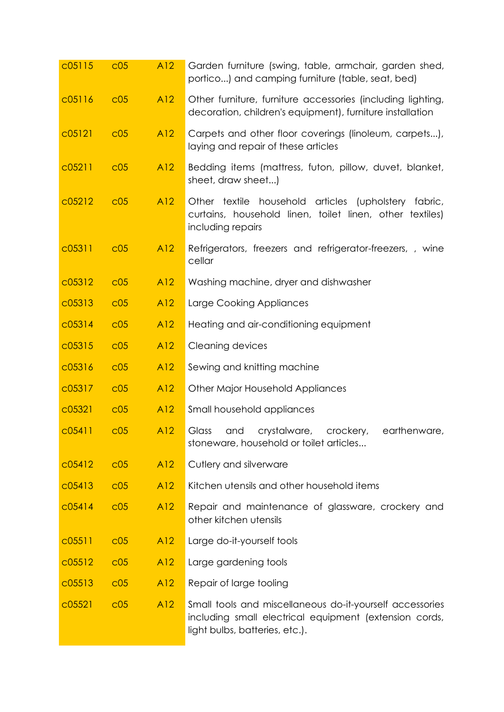| C05115 | C <sub>05</sub> | A12 | Garden furniture (swing, table, armchair, garden shed,<br>portico) and camping furniture (table, seat, bed)                                          |
|--------|-----------------|-----|------------------------------------------------------------------------------------------------------------------------------------------------------|
| C05116 | C <sub>05</sub> | A12 | Other furniture, furniture accessories (including lighting,<br>decoration, children's equipment), furniture installation                             |
| c05121 | C <sub>05</sub> | A12 | Carpets and other floor coverings (linoleum, carpets),<br>laying and repair of these articles                                                        |
| c05211 | C <sub>05</sub> | A12 | Bedding items (mattress, futon, pillow, duvet, blanket,<br>sheet, draw sheet)                                                                        |
| C05212 | C <sub>05</sub> | A12 | Other textile household articles (upholstery fabric,<br>curtains, household linen, toilet linen, other textiles)<br>including repairs                |
| C05311 | C <sub>05</sub> | A12 | Refrigerators, freezers and refrigerator-freezers, , wine<br>cellar                                                                                  |
| c05312 | C <sub>05</sub> | A12 | Washing machine, dryer and dishwasher                                                                                                                |
| c05313 | C <sub>05</sub> | A12 | Large Cooking Appliances                                                                                                                             |
| c05314 | C <sub>05</sub> | A12 | Heating and air-conditioning equipment                                                                                                               |
| c05315 | C <sub>05</sub> | A12 | Cleaning devices                                                                                                                                     |
| C05316 | C <sub>05</sub> | A12 | Sewing and knitting machine                                                                                                                          |
| c05317 | C <sub>05</sub> | A12 | <b>Other Major Household Appliances</b>                                                                                                              |
| c05321 | C <sub>05</sub> | A12 | Small household appliances                                                                                                                           |
| C05411 | C <sub>05</sub> | A12 | Glass<br>and<br>crystalware,<br>crockery,<br>earthenware,<br>stoneware, household or toilet articles                                                 |
| c05412 | C <sub>05</sub> | A12 | Cutlery and silverware                                                                                                                               |
| c05413 | C <sub>05</sub> | A12 | Kitchen utensils and other household items                                                                                                           |
| C05414 | C <sub>05</sub> | A12 | Repair and maintenance of glassware, crockery and<br>other kitchen utensils                                                                          |
| C05511 | C <sub>05</sub> | A12 | Large do-it-yourself tools                                                                                                                           |
| C05512 | C <sub>05</sub> | A12 | Large gardening tools                                                                                                                                |
| c05513 | C <sub>05</sub> | A12 | Repair of large tooling                                                                                                                              |
| C05521 | C <sub>05</sub> | A12 | Small tools and miscellaneous do-it-yourself accessories<br>including small electrical equipment (extension cords,<br>light bulbs, batteries, etc.). |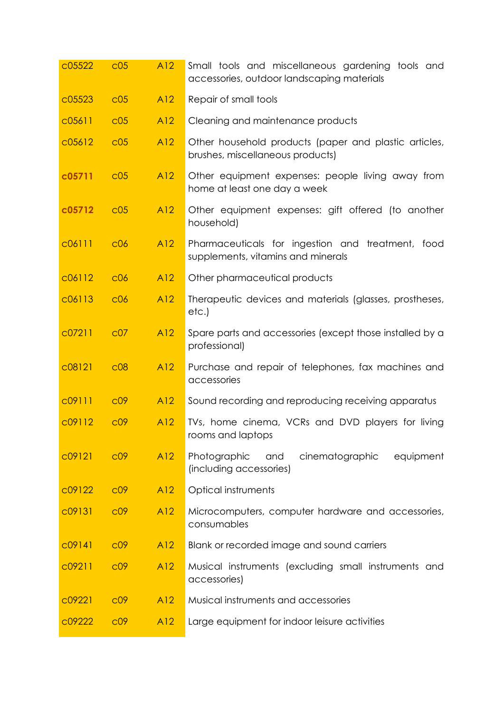| c05522 | C <sub>05</sub> | A12 | Small tools and miscellaneous gardening tools and<br>accessories, outdoor landscaping materials |
|--------|-----------------|-----|-------------------------------------------------------------------------------------------------|
| c05523 | C <sub>05</sub> | A12 | Repair of small tools                                                                           |
| C05611 | C <sub>05</sub> | A12 | Cleaning and maintenance products                                                               |
| c05612 | C <sub>05</sub> | A12 | Other household products (paper and plastic articles,<br>brushes, miscellaneous products)       |
| c05711 | C <sub>05</sub> | A12 | Other equipment expenses: people living away from<br>home at least one day a week               |
| c05712 | C <sub>05</sub> | A12 | Other equipment expenses: gift offered (to another<br>household)                                |
| c06111 | C <sub>06</sub> | A12 | Pharmaceuticals for ingestion and treatment, food<br>supplements, vitamins and minerals         |
| c06112 | C <sub>06</sub> | A12 | Other pharmaceutical products                                                                   |
| c06113 | C <sub>06</sub> | A12 | Therapeutic devices and materials (glasses, prostheses,<br>etc.)                                |
| c07211 | C <sub>07</sub> | A12 | Spare parts and accessories (except those installed by a<br>professional)                       |
| C08121 | C <sub>08</sub> | A12 | Purchase and repair of telephones, fax machines and<br>accessories                              |
| c09111 | C <sub>09</sub> | A12 | Sound recording and reproducing receiving apparatus                                             |
| c09112 | C <sub>09</sub> | A12 | TVs, home cinema, VCRs and DVD players for living<br>rooms and laptops                          |
| c09121 | C <sub>09</sub> | A12 | Photographic<br>cinematographic<br>equipment<br>and<br>(including accessories)                  |
| c09122 | CO <sup>9</sup> | A12 | Optical instruments                                                                             |
| c09131 | C <sub>0</sub>  | A12 | Microcomputers, computer hardware and accessories,<br>consumables                               |
| c09141 | C <sub>0</sub>  | A12 | Blank or recorded image and sound carriers                                                      |
| C09211 | CO <sup>9</sup> | A12 | Musical instruments (excluding small instruments and<br>accessories)                            |
| C09221 | CO <sup>9</sup> | A12 | Musical instruments and accessories                                                             |
| c09222 | CO <sup>9</sup> | A12 | Large equipment for indoor leisure activities                                                   |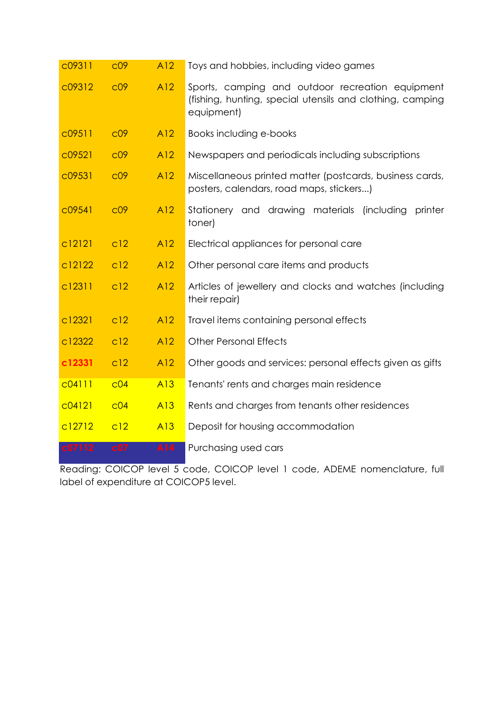| c09311 | C <sub>09</sub> | A12 | Toys and hobbies, including video games                                                                                     |
|--------|-----------------|-----|-----------------------------------------------------------------------------------------------------------------------------|
| c09312 | C <sub>09</sub> | A12 | Sports, camping and outdoor recreation equipment<br>(fishing, hunting, special utensils and clothing, camping<br>equipment) |
| c09511 | C <sub>09</sub> | A12 | Books including e-books                                                                                                     |
| c09521 | C <sub>0</sub>  | A12 | Newspapers and periodicals including subscriptions                                                                          |
| c09531 | C <sub>0</sub>  | A12 | Miscellaneous printed matter (postcards, business cards,<br>posters, calendars, road maps, stickers)                        |
| c09541 | C <sub>09</sub> | A12 | Stationery and drawing materials<br>(including<br>printer<br>toner)                                                         |
| c12121 | c12             | A12 | Electrical appliances for personal care                                                                                     |
| c12122 | c12             | A12 | Other personal care items and products                                                                                      |
| c12311 | c12             | A12 | Articles of jewellery and clocks and watches (including<br>their repair)                                                    |
| c12321 | c12             | A12 | Travel items containing personal effects                                                                                    |
| c12322 | c12             | A12 | <b>Other Personal Effects</b>                                                                                               |
| c12331 | c12             | A12 | Other goods and services: personal effects given as gifts                                                                   |
| C04111 | C <sub>04</sub> | A13 | Tenants' rents and charges main residence                                                                                   |
| C04121 | C <sub>04</sub> | A13 | Rents and charges from tenants other residences                                                                             |
| c12712 | c12             | A13 | Deposit for housing accommodation                                                                                           |
| c07112 | c07             | A14 | Purchasing used cars                                                                                                        |

Reading: COICOP level 5 code, COICOP level 1 code, ADEME nomenclature, full label of expenditure at COICOP5 level.